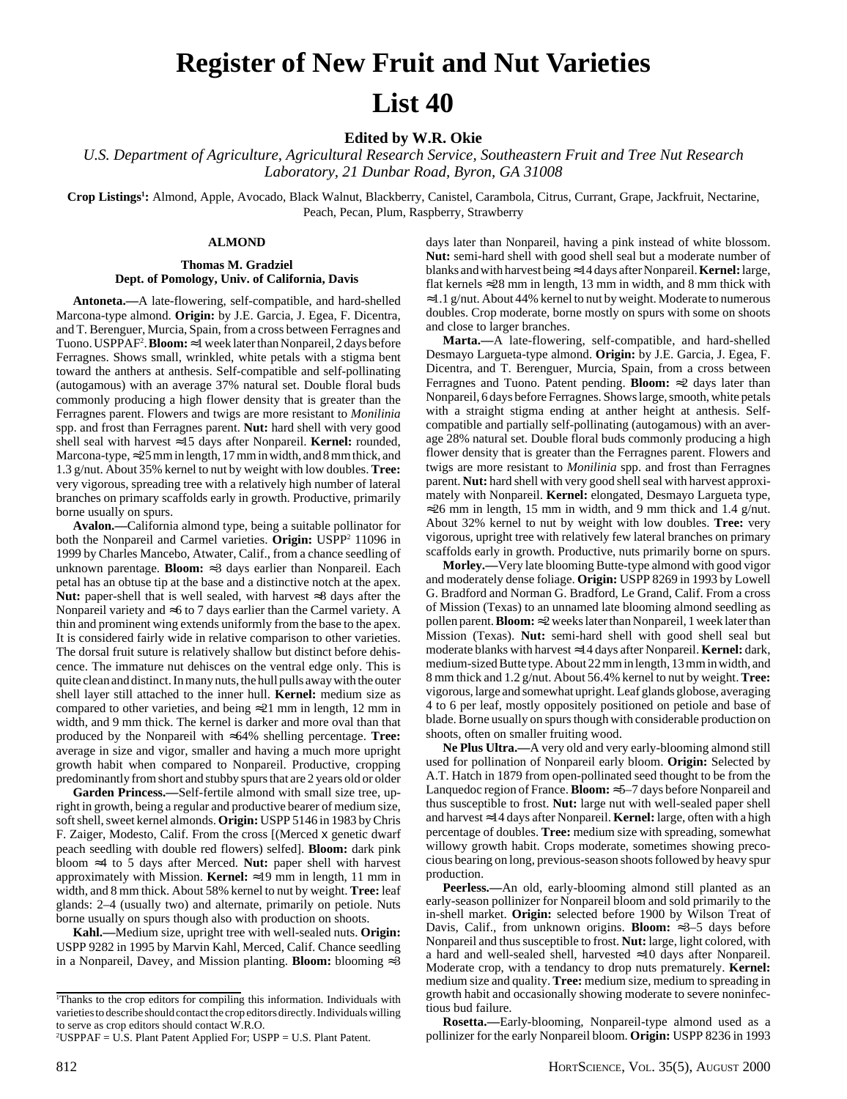# **Register of New Fruit and Nut Varieties List 40**

**Edited by W.R. Okie**

*U.S. Department of Agriculture, Agricultural Research Service, Southeastern Fruit and Tree Nut Research Laboratory, 21 Dunbar Road, Byron, GA 31008*

**Crop Listings1 :** Almond, Apple, Avocado, Black Walnut, Blackberry, Canistel, Carambola, Citrus, Currant, Grape, Jackfruit, Nectarine, Peach, Pecan, Plum, Raspberry, Strawberry

# **ALMOND**

# **Thomas M. Gradziel Dept. of Pomology, Univ. of California, Davis**

**Antoneta.—**A late-flowering, self-compatible, and hard-shelled Marcona-type almond. **Origin:** by J.E. Garcia, J. Egea, F. Dicentra, and T. Berenguer, Murcia, Spain, from a cross between Ferragnes and Tuono. USPPAF2 . **Bloom:**≈1 week later than Nonpareil, 2 days before Ferragnes. Shows small, wrinkled, white petals with a stigma bent toward the anthers at anthesis. Self-compatible and self-pollinating (autogamous) with an average 37% natural set. Double floral buds commonly producing a high flower density that is greater than the Ferragnes parent. Flowers and twigs are more resistant to *Monilinia* spp. and frost than Ferragnes parent. **Nut:** hard shell with very good shell seal with harvest ≈15 days after Nonpareil. **Kernel:** rounded, Marcona-type,  $\approx$  25 mm in length, 17 mm in width, and 8 mm thick, and 1.3 g/nut. About 35% kernel to nut by weight with low doubles. **Tree:** very vigorous, spreading tree with a relatively high number of lateral branches on primary scaffolds early in growth. Productive, primarily borne usually on spurs.

**Avalon.—**California almond type, being a suitable pollinator for both the Nonpareil and Carmel varieties. Origin: USPP<sup>2</sup> 11096 in 1999 by Charles Mancebo, Atwater, Calif., from a chance seedling of unknown parentage. **Bloom:** ≈3 days earlier than Nonpareil. Each petal has an obtuse tip at the base and a distinctive notch at the apex. **Nut:** paper-shell that is well sealed, with harvest ≈8 days after the Nonpareil variety and ≈6 to 7 days earlier than the Carmel variety. A thin and prominent wing extends uniformly from the base to the apex. It is considered fairly wide in relative comparison to other varieties. The dorsal fruit suture is relatively shallow but distinct before dehiscence. The immature nut dehisces on the ventral edge only. This is quite clean and distinct. In many nuts, the hull pulls away with the outer shell layer still attached to the inner hull. **Kernel:** medium size as compared to other varieties, and being  $\approx 21$  mm in length, 12 mm in width, and 9 mm thick. The kernel is darker and more oval than that produced by the Nonpareil with ≈64% shelling percentage. **Tree:** average in size and vigor, smaller and having a much more upright growth habit when compared to Nonpareil. Productive, cropping predominantly from short and stubby spurs that are 2 years old or older

**Garden Princess.—**Self-fertile almond with small size tree, upright in growth, being a regular and productive bearer of medium size, soft shell, sweet kernel almonds. **Origin:** USPP 5146 in 1983 by Chris F. Zaiger, Modesto, Calif. From the cross [(Merced x genetic dwarf peach seedling with double red flowers) selfed]. **Bloom:** dark pink bloom ≈4 to 5 days after Merced. **Nut:** paper shell with harvest approximately with Mission. **Kernel:** ≈19 mm in length, 11 mm in width, and 8 mm thick. About 58% kernel to nut by weight. **Tree:** leaf glands: 2–4 (usually two) and alternate, primarily on petiole. Nuts borne usually on spurs though also with production on shoots.

**Kahl.—**Medium size, upright tree with well-sealed nuts. **Origin:** USPP 9282 in 1995 by Marvin Kahl, Merced, Calif. Chance seedling in a Nonpareil, Davey, and Mission planting. **Bloom:** blooming ≈3

days later than Nonpareil, having a pink instead of white blossom. **Nut:** semi-hard shell with good shell seal but a moderate number of blanks and with harvest being ≈14 days after Nonpareil. **Kernel:** large, flat kernels  $\approx$  28 mm in length, 13 mm in width, and 8 mm thick with ≈1.1 g/nut. About 44% kernel to nut by weight. Moderate to numerous doubles. Crop moderate, borne mostly on spurs with some on shoots and close to larger branches.

**Marta.—**A late-flowering, self-compatible, and hard-shelled Desmayo Largueta-type almond. **Origin:** by J.E. Garcia, J. Egea, F. Dicentra, and T. Berenguer, Murcia, Spain, from a cross between Ferragnes and Tuono. Patent pending. **Bloom:** ≈2 days later than Nonpareil, 6 days before Ferragnes. Shows large, smooth, white petals with a straight stigma ending at anther height at anthesis. Selfcompatible and partially self-pollinating (autogamous) with an average 28% natural set. Double floral buds commonly producing a high flower density that is greater than the Ferragnes parent. Flowers and twigs are more resistant to *Monilinia* spp. and frost than Ferragnes parent. **Nut:** hard shell with very good shell seal with harvest approximately with Nonpareil. **Kernel:** elongated, Desmayo Largueta type,  $\approx$  26 mm in length, 15 mm in width, and 9 mm thick and 1.4 g/nut. About 32% kernel to nut by weight with low doubles. **Tree:** very vigorous, upright tree with relatively few lateral branches on primary scaffolds early in growth. Productive, nuts primarily borne on spurs.

**Morley.—**Very late blooming Butte-type almond with good vigor and moderately dense foliage. **Origin:** USPP 8269 in 1993 by Lowell G. Bradford and Norman G. Bradford, Le Grand, Calif. From a cross of Mission (Texas) to an unnamed late blooming almond seedling as pollen parent. **Bloom:** ≈2 weeks later than Nonpareil, 1 week later than Mission (Texas). **Nut:** semi-hard shell with good shell seal but moderate blanks with harvest ≈14 days after Nonpareil. **Kernel:** dark, medium-sized Butte type. About 22 mm in length, 13 mm in width, and 8 mm thick and 1.2 g/nut. About 56.4% kernel to nut by weight. **Tree:** vigorous, large and somewhat upright. Leaf glands globose, averaging 4 to 6 per leaf, mostly oppositely positioned on petiole and base of blade. Borne usually on spurs though with considerable production on shoots, often on smaller fruiting wood.

**Ne Plus Ultra.—**A very old and very early-blooming almond still used for pollination of Nonpareil early bloom. **Origin:** Selected by A.T. Hatch in 1879 from open-pollinated seed thought to be from the Lanquedoc region of France. **Bloom:** ≈5–7 days before Nonpareil and thus susceptible to frost. **Nut:** large nut with well-sealed paper shell and harvest ≈14 days after Nonpareil. **Kernel:** large, often with a high percentage of doubles. **Tree:** medium size with spreading, somewhat willowy growth habit. Crops moderate, sometimes showing precocious bearing on long, previous-season shoots followed by heavy spur production.

**Peerless.—**An old, early-blooming almond still planted as an early-season pollinizer for Nonpareil bloom and sold primarily to the in-shell market. **Origin:** selected before 1900 by Wilson Treat of Davis, Calif., from unknown origins. **Bloom:** ≈3–5 days before Nonpareil and thus susceptible to frost. **Nut:** large, light colored, with a hard and well-sealed shell, harvested ≈10 days after Nonpareil. Moderate crop, with a tendancy to drop nuts prematurely. **Kernel:** medium size and quality. **Tree:** medium size, medium to spreading in growth habit and occasionally showing moderate to severe noninfectious bud failure.

**Rosetta.—**Early-blooming, Nonpareil-type almond used as a pollinizer for the early Nonpareil bloom. **Origin:** USPP 8236 in 1993

<sup>1</sup> Thanks to the crop editors for compiling this information. Individuals with varieties to describe should contact the crop editors directly. Individuals willing to serve as crop editors should contact W.R.O.

<sup>2</sup> USPPAF = U.S. Plant Patent Applied For; USPP = U.S. Plant Patent.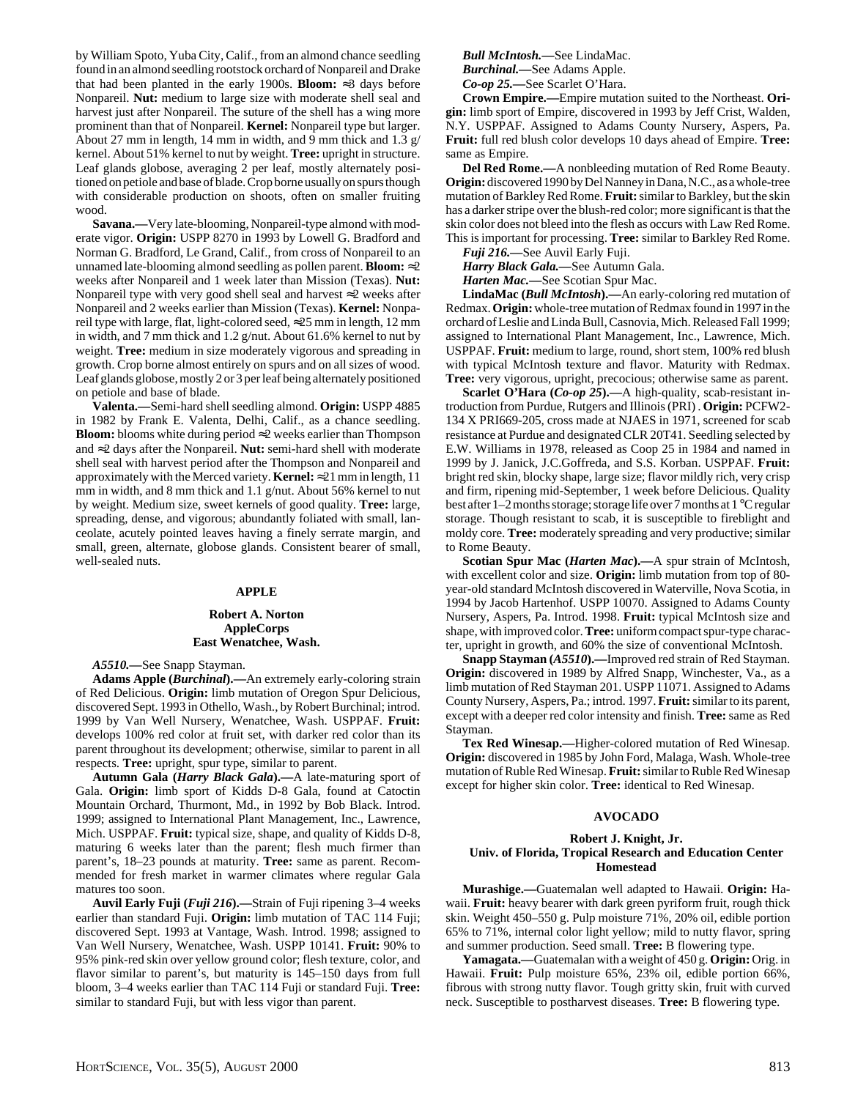by William Spoto, Yuba City, Calif., from an almond chance seedling found in an almond seedling rootstock orchard of Nonpareil and Drake that had been planted in the early 1900s. **Bloom:** ≈3 days before Nonpareil. **Nut:** medium to large size with moderate shell seal and harvest just after Nonpareil. The suture of the shell has a wing more prominent than that of Nonpareil. **Kernel:** Nonpareil type but larger. About 27 mm in length, 14 mm in width, and 9 mm thick and 1.3 g/ kernel. About 51% kernel to nut by weight. **Tree:** upright in structure. Leaf glands globose, averaging 2 per leaf, mostly alternately positioned on petiole and base of blade. Crop borne usually on spurs though with considerable production on shoots, often on smaller fruiting wood.

**Savana.—**Very late-blooming, Nonpareil-type almond with moderate vigor. **Origin:** USPP 8270 in 1993 by Lowell G. Bradford and Norman G. Bradford, Le Grand, Calif., from cross of Nonpareil to an unnamed late-blooming almond seedling as pollen parent. **Bloom:** ≈2 weeks after Nonpareil and 1 week later than Mission (Texas). **Nut:** Nonpareil type with very good shell seal and harvest ≈2 weeks after Nonpareil and 2 weeks earlier than Mission (Texas). **Kernel:** Nonpareil type with large, flat, light-colored seed, ≈25 mm in length, 12 mm in width, and 7 mm thick and 1.2 g/nut. About 61.6% kernel to nut by weight. **Tree:** medium in size moderately vigorous and spreading in growth. Crop borne almost entirely on spurs and on all sizes of wood. Leaf glands globose, mostly 2 or 3 per leaf being alternately positioned on petiole and base of blade.

**Valenta.—**Semi-hard shell seedling almond. **Origin:** USPP 4885 in 1982 by Frank E. Valenta, Delhi, Calif., as a chance seedling. **Bloom:** blooms white during period ≈2 weeks earlier than Thompson and ≈2 days after the Nonpareil. **Nut:** semi-hard shell with moderate shell seal with harvest period after the Thompson and Nonpareil and approximately with the Merced variety. **Kernel:** ≈21 mm in length, 11 mm in width, and 8 mm thick and 1.1 g/nut. About 56% kernel to nut by weight. Medium size, sweet kernels of good quality. **Tree:** large, spreading, dense, and vigorous; abundantly foliated with small, lanceolate, acutely pointed leaves having a finely serrate margin, and small, green, alternate, globose glands. Consistent bearer of small, well-sealed nuts.

#### **APPLE**

#### **Robert A. Norton AppleCorps East Wenatchee, Wash.**

*A5510.—*See Snapp Stayman.

**Adams Apple (***Burchinal***).—**An extremely early-coloring strain of Red Delicious. **Origin:** limb mutation of Oregon Spur Delicious, discovered Sept. 1993 in Othello, Wash., by Robert Burchinal; introd. 1999 by Van Well Nursery, Wenatchee, Wash. USPPAF. **Fruit:** develops 100% red color at fruit set, with darker red color than its parent throughout its development; otherwise, similar to parent in all respects. **Tree:** upright, spur type, similar to parent.

**Autumn Gala (***Harry Black Gala***).—**A late-maturing sport of Gala. **Origin:** limb sport of Kidds D-8 Gala, found at Catoctin Mountain Orchard, Thurmont, Md., in 1992 by Bob Black. Introd. 1999; assigned to International Plant Management, Inc., Lawrence, Mich. USPPAF. **Fruit:** typical size, shape, and quality of Kidds D-8, maturing 6 weeks later than the parent; flesh much firmer than parent's, 18–23 pounds at maturity. **Tree:** same as parent. Recommended for fresh market in warmer climates where regular Gala matures too soon.

**Auvil Early Fuji (***Fuji 216***).—**Strain of Fuji ripening 3–4 weeks earlier than standard Fuji. **Origin:** limb mutation of TAC 114 Fuji; discovered Sept. 1993 at Vantage, Wash. Introd. 1998; assigned to Van Well Nursery, Wenatchee, Wash. USPP 10141. **Fruit:** 90% to 95% pink-red skin over yellow ground color; flesh texture, color, and flavor similar to parent's, but maturity is 145–150 days from full bloom, 3–4 weeks earlier than TAC 114 Fuji or standard Fuji. **Tree:** similar to standard Fuji, but with less vigor than parent.

*Bull McIntosh.—*See LindaMac. *Burchinal.—*See Adams Apple. *Co-op 25.—*See Scarlet O'Hara.

**Crown Empire.—**Empire mutation suited to the Northeast. **Origin:** limb sport of Empire, discovered in 1993 by Jeff Crist, Walden, N.Y. USPPAF. Assigned to Adams County Nursery, Aspers, Pa. **Fruit:** full red blush color develops 10 days ahead of Empire. **Tree:** same as Empire.

**Del Red Rome.—**A nonbleeding mutation of Red Rome Beauty. **Origin:** discovered 1990 by Del Nanney in Dana, N.C., as a whole-tree mutation of Barkley Red Rome. **Fruit:** similar to Barkley, but the skin has a darker stripe over the blush-red color; more significant is that the skin color does not bleed into the flesh as occurs with Law Red Rome. This is important for processing. **Tree:** similar to Barkley Red Rome.

*Fuji 216.—*See Auvil Early Fuji.

*Harry Black Gala.—*See Autumn Gala.

*Harten Mac.—*See Scotian Spur Mac.

**LindaMac (***Bull McIntosh***).—**An early-coloring red mutation of Redmax. **Origin:** whole-tree mutation of Redmax found in 1997 in the orchard of Leslie and Linda Bull, Casnovia, Mich. Released Fall 1999; assigned to International Plant Management, Inc., Lawrence, Mich. USPPAF. **Fruit:** medium to large, round, short stem, 100% red blush with typical McIntosh texture and flavor. Maturity with Redmax. **Tree:** very vigorous, upright, precocious; otherwise same as parent.

**Scarlet O'Hara (***Co-op 25***).—**A high-quality, scab-resistant introduction from Purdue, Rutgers and Illinois (PRI) . **Origin:** PCFW2- 134 X PRI669-205, cross made at NJAES in 1971, screened for scab resistance at Purdue and designated CLR 20T41. Seedling selected by E.W. Williams in 1978, released as Coop 25 in 1984 and named in 1999 by J. Janick, J.C.Goffreda, and S.S. Korban. USPPAF. **Fruit:** bright red skin, blocky shape, large size; flavor mildly rich, very crisp and firm, ripening mid-September, 1 week before Delicious. Quality best after 1–2 months storage; storage life over 7 months at 1 °C regular storage. Though resistant to scab, it is susceptible to fireblight and moldy core. **Tree:** moderately spreading and very productive; similar to Rome Beauty.

**Scotian Spur Mac (***Harten Mac***).—**A spur strain of McIntosh, with excellent color and size. **Origin:** limb mutation from top of 80 year-old standard McIntosh discovered in Waterville, Nova Scotia, in 1994 by Jacob Hartenhof. USPP 10070. Assigned to Adams County Nursery, Aspers, Pa. Introd. 1998. **Fruit:** typical McIntosh size and shape, with improved color. **Tree:** uniform compact spur-type character, upright in growth, and 60% the size of conventional McIntosh.

**Snapp Stayman (***A5510***).—**Improved red strain of Red Stayman. **Origin:** discovered in 1989 by Alfred Snapp, Winchester, Va., as a limb mutation of Red Stayman 201. USPP 11071. Assigned to Adams County Nursery, Aspers, Pa.; introd. 1997. **Fruit:** similar to its parent, except with a deeper red color intensity and finish. **Tree:** same as Red Stayman.

**Tex Red Winesap.—**Higher-colored mutation of Red Winesap. **Origin:** discovered in 1985 by John Ford, Malaga, Wash. Whole-tree mutation of Ruble Red Winesap. **Fruit:** similar to Ruble Red Winesap except for higher skin color. **Tree:** identical to Red Winesap.

# **AVOCADO**

## **Robert J. Knight, Jr. Univ. of Florida, Tropical Research and Education Center Homestead**

**Murashige.—**Guatemalan well adapted to Hawaii. **Origin:** Hawaii. **Fruit:** heavy bearer with dark green pyriform fruit, rough thick skin. Weight 450–550 g. Pulp moisture 71%, 20% oil, edible portion 65% to 71%, internal color light yellow; mild to nutty flavor, spring and summer production. Seed small. **Tree:** B flowering type.

**Yamagata.—**Guatemalan with a weight of 450 g. **Origin:** Orig. in Hawaii. **Fruit:** Pulp moisture 65%, 23% oil, edible portion 66%, fibrous with strong nutty flavor. Tough gritty skin, fruit with curved neck. Susceptible to postharvest diseases. **Tree:** B flowering type.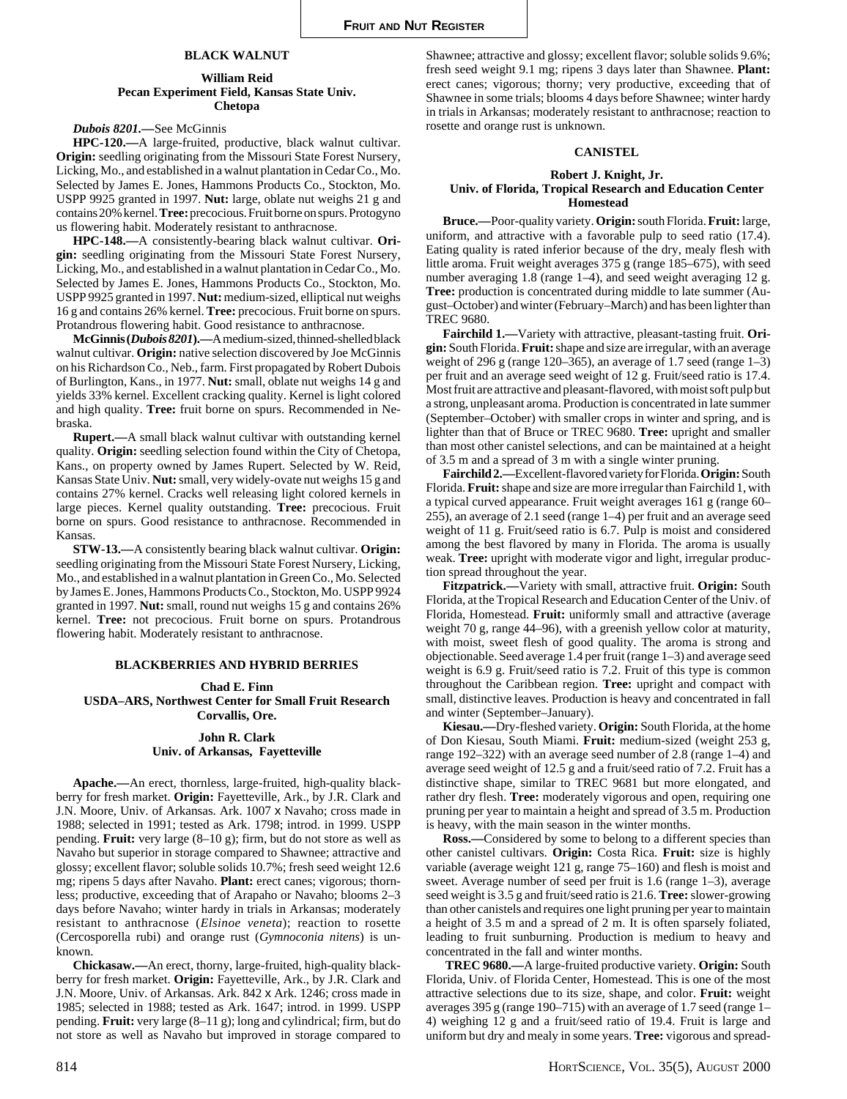# **BLACK WALNUT**

## **William Reid Pecan Experiment Field, Kansas State Univ. Chetopa**

## *Dubois 8201.—*See McGinnis

**HPC-120.—**A large-fruited, productive, black walnut cultivar. **Origin:** seedling originating from the Missouri State Forest Nursery, Licking, Mo., and established in a walnut plantation in Cedar Co., Mo. Selected by James E. Jones, Hammons Products Co., Stockton, Mo. USPP 9925 granted in 1997. **Nut:** large, oblate nut weighs 21 g and contains 20% kernel. **Tree:** precocious. Fruit borne on spurs. Protogyno us flowering habit. Moderately resistant to anthracnose.

**HPC-148.—**A consistently-bearing black walnut cultivar. **Origin:** seedling originating from the Missouri State Forest Nursery, Licking, Mo., and established in a walnut plantation in Cedar Co., Mo. Selected by James E. Jones, Hammons Products Co., Stockton, Mo. USPP 9925 granted in 1997. **Nut:** medium-sized, elliptical nut weighs 16 g and contains 26% kernel. **Tree:** precocious. Fruit borne on spurs. Protandrous flowering habit. Good resistance to anthracnose.

**McGinnis (***Dubois 8201***).—**A medium-sized, thinned-shelled black walnut cultivar. **Origin:** native selection discovered by Joe McGinnis on his Richardson Co., Neb., farm. First propagated by Robert Dubois of Burlington, Kans., in 1977. **Nut:** small, oblate nut weighs 14 g and yields 33% kernel. Excellent cracking quality. Kernel is light colored and high quality. **Tree:** fruit borne on spurs. Recommended in Nebraska.

**Rupert.—**A small black walnut cultivar with outstanding kernel quality. **Origin:** seedling selection found within the City of Chetopa, Kans., on property owned by James Rupert. Selected by W. Reid, Kansas State Univ. **Nut:** small, very widely-ovate nut weighs 15 g and contains 27% kernel. Cracks well releasing light colored kernels in large pieces. Kernel quality outstanding. **Tree:** precocious. Fruit borne on spurs. Good resistance to anthracnose. Recommended in Kansas.

**STW-13.—**A consistently bearing black walnut cultivar. **Origin:** seedling originating from the Missouri State Forest Nursery, Licking, Mo., and established in a walnut plantation in Green Co., Mo. Selected by James E. Jones, Hammons Products Co., Stockton, Mo. USPP 9924 granted in 1997. **Nut:** small, round nut weighs 15 g and contains 26% kernel. **Tree:** not precocious. Fruit borne on spurs. Protandrous flowering habit. Moderately resistant to anthracnose.

#### **BLACKBERRIES AND HYBRID BERRIES**

**Chad E. Finn USDA–ARS, Northwest Center for Small Fruit Research Corvallis, Ore.**

# **John R. Clark Univ. of Arkansas, Fayetteville**

**Apache.—**An erect, thornless, large-fruited, high-quality blackberry for fresh market. **Origin:** Fayetteville, Ark., by J.R. Clark and J.N. Moore, Univ. of Arkansas. Ark. 1007 x Navaho; cross made in 1988; selected in 1991; tested as Ark. 1798; introd. in 1999. USPP pending. **Fruit:** very large (8–10 g); firm, but do not store as well as Navaho but superior in storage compared to Shawnee; attractive and glossy; excellent flavor; soluble solids 10.7%; fresh seed weight 12.6 mg; ripens 5 days after Navaho. **Plant:** erect canes; vigorous; thornless; productive, exceeding that of Arapaho or Navaho; blooms 2–3 days before Navaho; winter hardy in trials in Arkansas; moderately resistant to anthracnose (*Elsinoe veneta*); reaction to rosette (Cercosporella rubi) and orange rust (*Gymnoconia nitens*) is unknown.

**Chickasaw.—**An erect, thorny, large-fruited, high-quality blackberry for fresh market. **Origin:** Fayetteville, Ark., by J.R. Clark and J.N. Moore, Univ. of Arkansas. Ark. 842 x Ark. 1246; cross made in 1985; selected in 1988; tested as Ark. 1647; introd. in 1999. USPP pending. **Fruit:** very large (8–11 g); long and cylindrical; firm, but do not store as well as Navaho but improved in storage compared to

Shawnee; attractive and glossy; excellent flavor; soluble solids 9.6%; fresh seed weight 9.1 mg; ripens 3 days later than Shawnee. **Plant:** erect canes; vigorous; thorny; very productive, exceeding that of Shawnee in some trials; blooms 4 days before Shawnee; winter hardy in trials in Arkansas; moderately resistant to anthracnose; reaction to rosette and orange rust is unknown.

#### **CANISTEL**

#### **Robert J. Knight, Jr. Univ. of Florida, Tropical Research and Education Center Homestead**

**Bruce.—**Poor-quality variety. **Origin:** south Florida. **Fruit:** large, uniform, and attractive with a favorable pulp to seed ratio (17.4). Eating quality is rated inferior because of the dry, mealy flesh with little aroma. Fruit weight averages 375 g (range 185–675), with seed number averaging 1.8 (range 1–4), and seed weight averaging 12 g. **Tree:** production is concentrated during middle to late summer (August–October) and winter (February–March) and has been lighter than TREC 9680.

**Fairchild 1.—**Variety with attractive, pleasant-tasting fruit. **Origin:** South Florida. **Fruit:** shape and size are irregular, with an average weight of 296 g (range 120–365), an average of 1.7 seed (range 1–3) per fruit and an average seed weight of 12 g. Fruit/seed ratio is 17.4. Most fruit are attractive and pleasant-flavored, with moist soft pulp but a strong, unpleasant aroma. Production is concentrated in late summer (September–October) with smaller crops in winter and spring, and is lighter than that of Bruce or TREC 9680. **Tree:** upright and smaller than most other canistel selections, and can be maintained at a height of 3.5 m and a spread of 3 m with a single winter pruning.

**Fairchild 2.—**Excellent-flavored variety for Florida. **Origin:** South Florida. **Fruit:** shape and size are more irregular than Fairchild 1, with a typical curved appearance. Fruit weight averages 161 g (range 60– 255), an average of 2.1 seed (range 1–4) per fruit and an average seed weight of 11 g. Fruit/seed ratio is 6.7. Pulp is moist and considered among the best flavored by many in Florida. The aroma is usually weak. **Tree:** upright with moderate vigor and light, irregular production spread throughout the year.

**Fitzpatrick.—**Variety with small, attractive fruit. **Origin:** South Florida, at the Tropical Research and Education Center of the Univ. of Florida, Homestead. **Fruit:** uniformly small and attractive (average weight 70 g, range 44–96), with a greenish yellow color at maturity, with moist, sweet flesh of good quality. The aroma is strong and objectionable. Seed average 1.4 per fruit (range 1–3) and average seed weight is 6.9 g. Fruit/seed ratio is 7.2. Fruit of this type is common throughout the Caribbean region. **Tree:** upright and compact with small, distinctive leaves. Production is heavy and concentrated in fall and winter (September–January).

**Kiesau.—**Dry-fleshed variety. **Origin:** South Florida, at the home of Don Kiesau, South Miami. **Fruit:** medium-sized (weight 253 g, range 192–322) with an average seed number of 2.8 (range 1–4) and average seed weight of 12.5 g and a fruit/seed ratio of 7.2. Fruit has a distinctive shape, similar to TREC 9681 but more elongated, and rather dry flesh. **Tree:** moderately vigorous and open, requiring one pruning per year to maintain a height and spread of 3.5 m. Production is heavy, with the main season in the winter months.

**Ross.—**Considered by some to belong to a different species than other canistel cultivars. **Origin:** Costa Rica. **Fruit:** size is highly variable (average weight 121 g, range 75–160) and flesh is moist and sweet. Average number of seed per fruit is 1.6 (range 1–3), average seed weight is 3.5 g and fruit/seed ratio is 21.6. **Tree:** slower-growing than other canistels and requires one light pruning per year to maintain a height of 3.5 m and a spread of 2 m. It is often sparsely foliated, leading to fruit sunburning. Production is medium to heavy and concentrated in the fall and winter months.

**TREC 9680.—**A large-fruited productive variety. **Origin:** South Florida, Univ. of Florida Center, Homestead. This is one of the most attractive selections due to its size, shape, and color. **Fruit:** weight averages 395 g (range 190–715) with an average of 1.7 seed (range 1– 4) weighing 12 g and a fruit/seed ratio of 19.4. Fruit is large and uniform but dry and mealy in some years. **Tree:** vigorous and spread-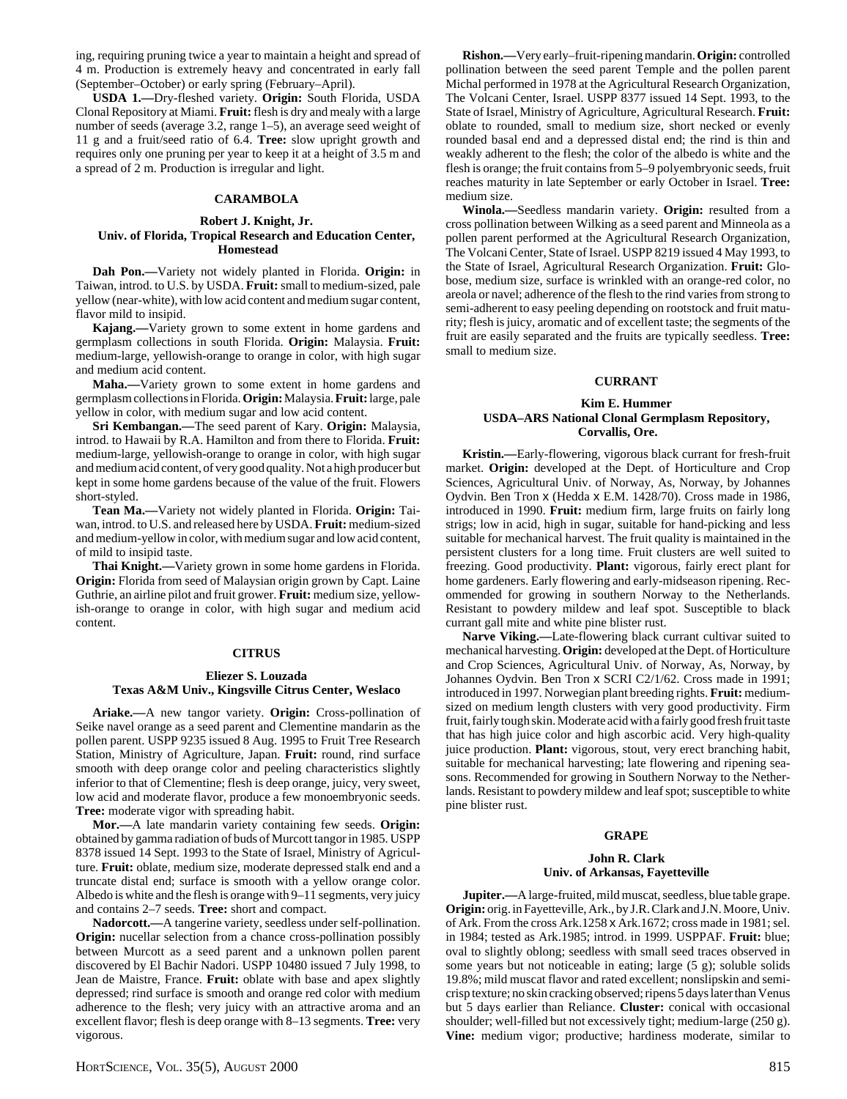ing, requiring pruning twice a year to maintain a height and spread of 4 m. Production is extremely heavy and concentrated in early fall (September–October) or early spring (February–April).

**USDA 1.—**Dry-fleshed variety. **Origin:** South Florida, USDA Clonal Repository at Miami. **Fruit:** flesh is dry and mealy with a large number of seeds (average 3.2, range 1–5), an average seed weight of 11 g and a fruit/seed ratio of 6.4. **Tree:** slow upright growth and requires only one pruning per year to keep it at a height of 3.5 m and a spread of 2 m. Production is irregular and light.

# **CARAMBOLA**

#### **Robert J. Knight, Jr. Univ. of Florida, Tropical Research and Education Center, Homestead**

**Dah Pon.—**Variety not widely planted in Florida. **Origin:** in Taiwan, introd. to U.S. by USDA. **Fruit:** small to medium-sized, pale yellow (near-white), with low acid content and medium sugar content, flavor mild to insipid.

**Kajang.—**Variety grown to some extent in home gardens and germplasm collections in south Florida. **Origin:** Malaysia. **Fruit:** medium-large, yellowish-orange to orange in color, with high sugar and medium acid content.

**Maha.—**Variety grown to some extent in home gardens and germplasm collections in Florida. **Origin:** Malaysia. **Fruit:** large, pale yellow in color, with medium sugar and low acid content.

**Sri Kembangan.—**The seed parent of Kary. **Origin:** Malaysia, introd. to Hawaii by R.A. Hamilton and from there to Florida. **Fruit:** medium-large, yellowish-orange to orange in color, with high sugar and medium acid content, of very good quality. Not a high producer but kept in some home gardens because of the value of the fruit. Flowers short-styled.

**Tean Ma.—**Variety not widely planted in Florida. **Origin:** Taiwan, introd. to U.S. and released here by USDA. **Fruit:** medium-sized and medium-yellow in color, with medium sugar and low acid content, of mild to insipid taste.

**Thai Knight.—**Variety grown in some home gardens in Florida. **Origin:** Florida from seed of Malaysian origin grown by Capt. Laine Guthrie, an airline pilot and fruit grower. **Fruit:** medium size, yellowish-orange to orange in color, with high sugar and medium acid content.

# **CITRUS**

# **Eliezer S. Louzada Texas A&M Univ., Kingsville Citrus Center, Weslaco**

**Ariake.—**A new tangor variety. **Origin:** Cross-pollination of Seike navel orange as a seed parent and Clementine mandarin as the pollen parent. USPP 9235 issued 8 Aug. 1995 to Fruit Tree Research Station, Ministry of Agriculture, Japan. **Fruit:** round, rind surface smooth with deep orange color and peeling characteristics slightly inferior to that of Clementine; flesh is deep orange, juicy, very sweet, low acid and moderate flavor, produce a few monoembryonic seeds. **Tree:** moderate vigor with spreading habit.

**Mor.—**A late mandarin variety containing few seeds. **Origin:** obtained by gamma radiation of buds of Murcott tangor in 1985. USPP 8378 issued 14 Sept. 1993 to the State of Israel, Ministry of Agriculture. **Fruit:** oblate, medium size, moderate depressed stalk end and a truncate distal end; surface is smooth with a yellow orange color. Albedo is white and the flesh is orange with 9–11 segments, very juicy and contains 2–7 seeds. **Tree:** short and compact.

**Nadorcott.—**A tangerine variety, seedless under self-pollination. **Origin:** nucellar selection from a chance cross-pollination possibly between Murcott as a seed parent and a unknown pollen parent discovered by El Bachir Nadori. USPP 10480 issued 7 July 1998, to Jean de Maistre, France. **Fruit:** oblate with base and apex slightly depressed; rind surface is smooth and orange red color with medium adherence to the flesh; very juicy with an attractive aroma and an excellent flavor; flesh is deep orange with 8–13 segments. **Tree:** very vigorous.

**Rishon.—**Very early–fruit-ripening mandarin. **Origin:** controlled pollination between the seed parent Temple and the pollen parent Michal performed in 1978 at the Agricultural Research Organization, The Volcani Center, Israel. USPP 8377 issued 14 Sept. 1993, to the State of Israel, Ministry of Agriculture, Agricultural Research. **Fruit:** oblate to rounded, small to medium size, short necked or evenly rounded basal end and a depressed distal end; the rind is thin and weakly adherent to the flesh; the color of the albedo is white and the flesh is orange; the fruit contains from 5–9 polyembryonic seeds, fruit reaches maturity in late September or early October in Israel. **Tree:** medium size.

**Winola.—**Seedless mandarin variety. **Origin:** resulted from a cross pollination between Wilking as a seed parent and Minneola as a pollen parent performed at the Agricultural Research Organization, The Volcani Center, State of Israel. USPP 8219 issued 4 May 1993, to the State of Israel, Agricultural Research Organization. **Fruit:** Globose, medium size, surface is wrinkled with an orange-red color, no areola or navel; adherence of the flesh to the rind varies from strong to semi-adherent to easy peeling depending on rootstock and fruit maturity; flesh is juicy, aromatic and of excellent taste; the segments of the fruit are easily separated and the fruits are typically seedless. **Tree:** small to medium size.

# **CURRANT**

#### **Kim E. Hummer USDA–ARS National Clonal Germplasm Repository, Corvallis, Ore.**

**Kristin.—**Early-flowering, vigorous black currant for fresh-fruit market. **Origin:** developed at the Dept. of Horticulture and Crop Sciences, Agricultural Univ. of Norway, As, Norway, by Johannes Oydvin. Ben Tron x (Hedda x E.M. 1428/70). Cross made in 1986, introduced in 1990. **Fruit:** medium firm, large fruits on fairly long strigs; low in acid, high in sugar, suitable for hand-picking and less suitable for mechanical harvest. The fruit quality is maintained in the persistent clusters for a long time. Fruit clusters are well suited to freezing. Good productivity. **Plant:** vigorous, fairly erect plant for home gardeners. Early flowering and early-midseason ripening. Recommended for growing in southern Norway to the Netherlands. Resistant to powdery mildew and leaf spot. Susceptible to black currant gall mite and white pine blister rust.

**Narve Viking.—**Late-flowering black currant cultivar suited to mechanical harvesting. **Origin:** developed at the Dept. of Horticulture and Crop Sciences, Agricultural Univ. of Norway, As, Norway, by Johannes Oydvin. Ben Tron x SCRI C2/1/62. Cross made in 1991; introduced in 1997. Norwegian plant breeding rights. **Fruit:** mediumsized on medium length clusters with very good productivity. Firm fruit, fairly tough skin. Moderate acid with a fairly good fresh fruit taste that has high juice color and high ascorbic acid. Very high-quality juice production. **Plant:** vigorous, stout, very erect branching habit, suitable for mechanical harvesting; late flowering and ripening seasons. Recommended for growing in Southern Norway to the Netherlands. Resistant to powdery mildew and leaf spot; susceptible to white pine blister rust.

#### **GRAPE**

## **John R. Clark Univ. of Arkansas, Fayetteville**

**Jupiter.—**A large-fruited, mild muscat, seedless, blue table grape. **Origin:** orig. in Fayetteville, Ark., by J.R. Clark and J.N. Moore, Univ. of Ark. From the cross Ark.1258 x Ark.1672; cross made in 1981; sel. in 1984; tested as Ark.1985; introd. in 1999. USPPAF. **Fruit:** blue; oval to slightly oblong; seedless with small seed traces observed in some years but not noticeable in eating; large (5 g); soluble solids 19.8%; mild muscat flavor and rated excellent; nonslipskin and semicrisp texture; no skin cracking observed; ripens 5 days later than Venus but 5 days earlier than Reliance. **Cluster:** conical with occasional shoulder; well-filled but not excessively tight; medium-large (250 g). **Vine:** medium vigor; productive; hardiness moderate, similar to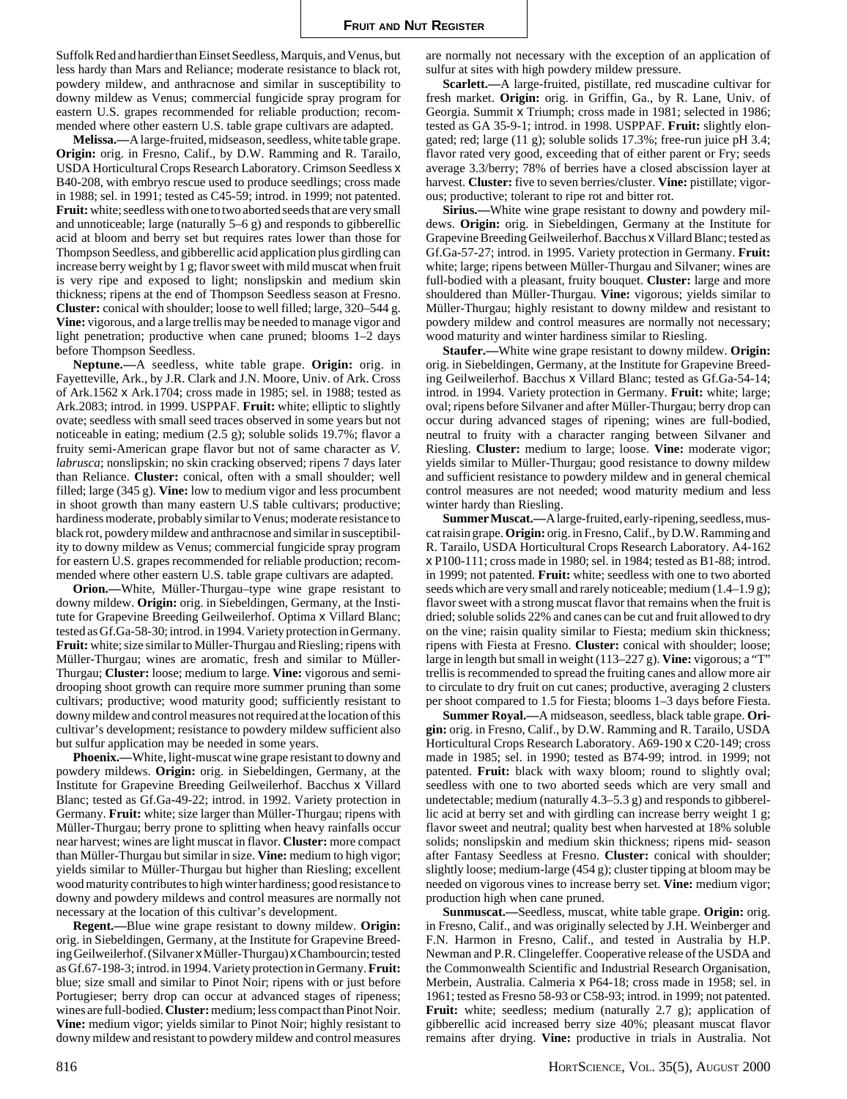Suffolk Red and hardier than Einset Seedless, Marquis, and Venus, but less hardy than Mars and Reliance; moderate resistance to black rot, powdery mildew, and anthracnose and similar in susceptibility to downy mildew as Venus; commercial fungicide spray program for eastern U.S. grapes recommended for reliable production; recommended where other eastern U.S. table grape cultivars are adapted.

**Melissa.—**A large-fruited, midseason, seedless, white table grape. **Origin:** orig. in Fresno, Calif., by D.W. Ramming and R. Tarailo, USDA Horticultural Crops Research Laboratory. Crimson Seedless x B40-208, with embryo rescue used to produce seedlings; cross made in 1988; sel. in 1991; tested as C45-59; introd. in 1999; not patented. **Fruit:** white; seedless with one to two aborted seeds that are very small and unnoticeable; large (naturally 5–6 g) and responds to gibberellic acid at bloom and berry set but requires rates lower than those for Thompson Seedless, and gibberellic acid application plus girdling can increase berry weight by 1 g; flavor sweet with mild muscat when fruit is very ripe and exposed to light; nonslipskin and medium skin thickness; ripens at the end of Thompson Seedless season at Fresno. **Cluster:** conical with shoulder; loose to well filled; large, 320–544 g. **Vine:** vigorous, and a large trellis may be needed to manage vigor and light penetration; productive when cane pruned; blooms 1–2 days before Thompson Seedless.

**Neptune.—**A seedless, white table grape. **Origin:** orig. in Fayetteville, Ark., by J.R. Clark and J.N. Moore, Univ. of Ark. Cross of Ark.1562 x Ark.1704; cross made in 1985; sel. in 1988; tested as Ark.2083; introd. in 1999. USPPAF. **Fruit:** white; elliptic to slightly ovate; seedless with small seed traces observed in some years but not noticeable in eating; medium (2.5 g); soluble solids 19.7%; flavor a fruity semi-American grape flavor but not of same character as *V. labrusca*; nonslipskin; no skin cracking observed; ripens 7 days later than Reliance. **Cluster:** conical, often with a small shoulder; well filled; large (345 g). **Vine:** low to medium vigor and less procumbent in shoot growth than many eastern U.S table cultivars; productive; hardiness moderate, probably similar to Venus; moderate resistance to black rot, powdery mildew and anthracnose and similar in susceptibility to downy mildew as Venus; commercial fungicide spray program for eastern U.S. grapes recommended for reliable production; recommended where other eastern U.S. table grape cultivars are adapted.

**Orion.—**White, Müller-Thurgau–type wine grape resistant to downy mildew. **Origin:** orig. in Siebeldingen, Germany, at the Institute for Grapevine Breeding Geilweilerhof. Optima x Villard Blanc; tested as Gf.Ga-58-30; introd. in 1994. Variety protection in Germany. **Fruit:** white; size similar to Müller-Thurgau and Riesling; ripens with Müller-Thurgau; wines are aromatic, fresh and similar to Müller-Thurgau; **Cluster:** loose; medium to large. **Vine:** vigorous and semidrooping shoot growth can require more summer pruning than some cultivars; productive; wood maturity good; sufficiently resistant to downy mildew and control measures not required at the location of this cultivar's development; resistance to powdery mildew sufficient also but sulfur application may be needed in some years.

**Phoenix.—**White, light-muscat wine grape resistant to downy and powdery mildews. **Origin:** orig. in Siebeldingen, Germany, at the Institute for Grapevine Breeding Geilweilerhof. Bacchus x Villard Blanc; tested as Gf.Ga-49-22; introd. in 1992. Variety protection in Germany. **Fruit:** white; size larger than Müller-Thurgau; ripens with Müller-Thurgau; berry prone to splitting when heavy rainfalls occur near harvest; wines are light muscat in flavor. **Cluster:** more compact than Müller-Thurgau but similar in size. **Vine:** medium to high vigor; yields similar to Müller-Thurgau but higher than Riesling; excellent wood maturity contributes to high winter hardiness; good resistance to downy and powdery mildews and control measures are normally not necessary at the location of this cultivar's development.

**Regent.—**Blue wine grape resistant to downy mildew. **Origin:** orig. in Siebeldingen, Germany, at the Institute for Grapevine Breeding Geilweilerhof. (Silvaner x Müller-Thurgau) x Chambourcin; tested as Gf.67-198-3; introd. in 1994. Variety protection in Germany. **Fruit:** blue; size small and similar to Pinot Noir; ripens with or just before Portugieser; berry drop can occur at advanced stages of ripeness; wines are full-bodied. **Cluster:** medium; less compact than Pinot Noir. **Vine:** medium vigor; yields similar to Pinot Noir; highly resistant to downy mildew and resistant to powdery mildew and control measures

are normally not necessary with the exception of an application of sulfur at sites with high powdery mildew pressure.

**Scarlett.—**A large-fruited, pistillate, red muscadine cultivar for fresh market. **Origin:** orig. in Griffin, Ga., by R. Lane, Univ. of Georgia. Summit x Triumph; cross made in 1981; selected in 1986; tested as GA 35-9-1; introd. in 1998. USPPAF. **Fruit:** slightly elongated; red; large (11 g); soluble solids 17.3%; free-run juice pH 3.4; flavor rated very good, exceeding that of either parent or Fry; seeds average 3.3/berry; 78% of berries have a closed abscission layer at harvest. **Cluster:** five to seven berries/cluster. **Vine:** pistillate; vigorous; productive; tolerant to ripe rot and bitter rot.

**Sirius.—**White wine grape resistant to downy and powdery mildews. **Origin:** orig. in Siebeldingen, Germany at the Institute for Grapevine Breeding Geilweilerhof. Bacchus x Villard Blanc; tested as Gf.Ga-57-27; introd. in 1995. Variety protection in Germany. **Fruit:** white; large; ripens between Müller-Thurgau and Silvaner; wines are full-bodied with a pleasant, fruity bouquet. **Cluster:** large and more shouldered than Müller-Thurgau. **Vine:** vigorous; yields similar to Müller-Thurgau; highly resistant to downy mildew and resistant to powdery mildew and control measures are normally not necessary; wood maturity and winter hardiness similar to Riesling.

**Staufer.—**White wine grape resistant to downy mildew. **Origin:** orig. in Siebeldingen, Germany, at the Institute for Grapevine Breeding Geilweilerhof. Bacchus x Villard Blanc; tested as Gf.Ga-54-14; introd. in 1994. Variety protection in Germany. **Fruit:** white; large; oval; ripens before Silvaner and after Müller-Thurgau; berry drop can occur during advanced stages of ripening; wines are full-bodied, neutral to fruity with a character ranging between Silvaner and Riesling. **Cluster:** medium to large; loose. **Vine:** moderate vigor; yields similar to Müller-Thurgau; good resistance to downy mildew and sufficient resistance to powdery mildew and in general chemical control measures are not needed; wood maturity medium and less winter hardy than Riesling.

**Summer Muscat.—**A large-fruited, early-ripening, seedless, muscat raisin grape. **Origin:** orig. in Fresno, Calif., by D.W. Ramming and R. Tarailo, USDA Horticultural Crops Research Laboratory. A4-162 x P100-111; cross made in 1980; sel. in 1984; tested as B1-88; introd. in 1999; not patented. **Fruit:** white; seedless with one to two aborted seeds which are very small and rarely noticeable; medium (1.4–1.9 g); flavor sweet with a strong muscat flavor that remains when the fruit is dried; soluble solids 22% and canes can be cut and fruit allowed to dry on the vine; raisin quality similar to Fiesta; medium skin thickness; ripens with Fiesta at Fresno. **Cluster:** conical with shoulder; loose; large in length but small in weight (113–227 g). **Vine:** vigorous; a "T" trellis is recommended to spread the fruiting canes and allow more air to circulate to dry fruit on cut canes; productive, averaging 2 clusters per shoot compared to 1.5 for Fiesta; blooms 1–3 days before Fiesta.

**Summer Royal.—**A midseason, seedless, black table grape. **Origin:** orig. in Fresno, Calif., by D.W. Ramming and R. Tarailo, USDA Horticultural Crops Research Laboratory. A69-190 x C20-149; cross made in 1985; sel. in 1990; tested as B74-99; introd. in 1999; not patented. **Fruit:** black with waxy bloom; round to slightly oval; seedless with one to two aborted seeds which are very small and undetectable; medium (naturally 4.3–5.3 g) and responds to gibberellic acid at berry set and with girdling can increase berry weight 1 g; flavor sweet and neutral; quality best when harvested at 18% soluble solids; nonslipskin and medium skin thickness; ripens mid- season after Fantasy Seedless at Fresno. **Cluster:** conical with shoulder; slightly loose; medium-large (454 g); cluster tipping at bloom may be needed on vigorous vines to increase berry set. **Vine:** medium vigor; production high when cane pruned.

**Sunmuscat.—**Seedless, muscat, white table grape. **Origin:** orig. in Fresno, Calif., and was originally selected by J.H. Weinberger and F.N. Harmon in Fresno, Calif., and tested in Australia by H.P. Newman and P.R. Clingeleffer. Cooperative release of the USDA and the Commonwealth Scientific and Industrial Research Organisation, Merbein, Australia. Calmeria x P64-18; cross made in 1958; sel. in 1961; tested as Fresno 58-93 or C58-93; introd. in 1999; not patented. **Fruit:** white; seedless; medium (naturally 2.7 g); application of gibberellic acid increased berry size 40%; pleasant muscat flavor remains after drying. **Vine:** productive in trials in Australia. Not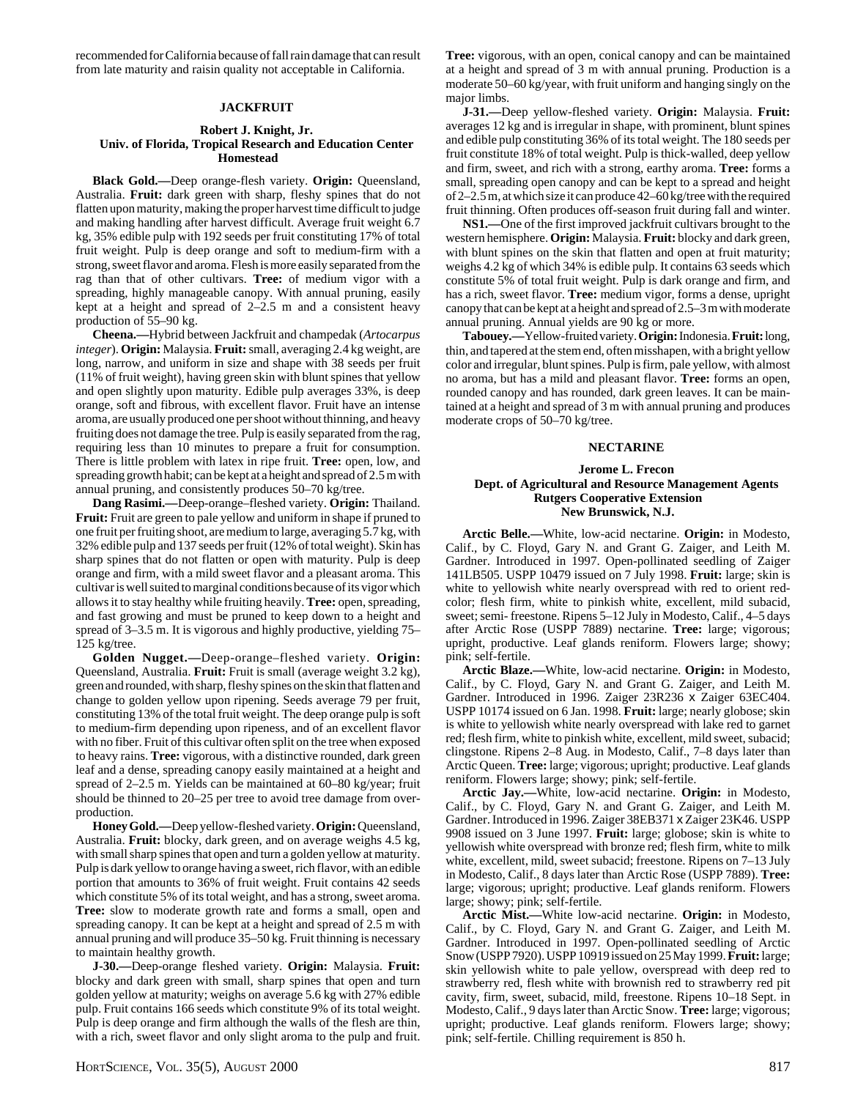recommended for California because of fall rain damage that can result from late maturity and raisin quality not acceptable in California.

#### **JACKFRUIT**

#### **Robert J. Knight, Jr. Univ. of Florida, Tropical Research and Education Center Homestead**

**Black Gold.—**Deep orange-flesh variety. **Origin:** Queensland, Australia. **Fruit:** dark green with sharp, fleshy spines that do not flatten upon maturity, making the proper harvest time difficult to judge and making handling after harvest difficult. Average fruit weight 6.7 kg, 35% edible pulp with 192 seeds per fruit constituting 17% of total fruit weight. Pulp is deep orange and soft to medium-firm with a strong, sweet flavor and aroma. Flesh is more easily separated from the rag than that of other cultivars. **Tree:** of medium vigor with a spreading, highly manageable canopy. With annual pruning, easily kept at a height and spread of 2–2.5 m and a consistent heavy production of 55–90 kg.

**Cheena.—**Hybrid between Jackfruit and champedak (*Artocarpus integer*). **Origin:** Malaysia. **Fruit:** small, averaging 2.4 kg weight, are long, narrow, and uniform in size and shape with 38 seeds per fruit (11% of fruit weight), having green skin with blunt spines that yellow and open slightly upon maturity. Edible pulp averages 33%, is deep orange, soft and fibrous, with excellent flavor. Fruit have an intense aroma, are usually produced one per shoot without thinning, and heavy fruiting does not damage the tree. Pulp is easily separated from the rag, requiring less than 10 minutes to prepare a fruit for consumption. There is little problem with latex in ripe fruit. **Tree:** open, low, and spreading growth habit; can be kept at a height and spread of 2.5 m with annual pruning, and consistently produces 50–70 kg/tree.

**Dang Rasimi.—**Deep-orange–fleshed variety. **Origin:** Thailand. **Fruit:** Fruit are green to pale yellow and uniform in shape if pruned to one fruit per fruiting shoot, are medium to large, averaging 5.7 kg, with 32% edible pulp and 137 seeds per fruit (12% of total weight). Skin has sharp spines that do not flatten or open with maturity. Pulp is deep orange and firm, with a mild sweet flavor and a pleasant aroma. This cultivar is well suited to marginal conditions because of its vigor which allows it to stay healthy while fruiting heavily. **Tree:** open, spreading, and fast growing and must be pruned to keep down to a height and spread of 3–3.5 m. It is vigorous and highly productive, yielding 75– 125 kg/tree.

**Golden Nugget.—**Deep-orange–fleshed variety. **Origin:** Queensland, Australia. **Fruit:** Fruit is small (average weight 3.2 kg), green and rounded, with sharp, fleshy spines on the skin that flatten and change to golden yellow upon ripening. Seeds average 79 per fruit, constituting 13% of the total fruit weight. The deep orange pulp is soft to medium-firm depending upon ripeness, and of an excellent flavor with no fiber. Fruit of this cultivar often split on the tree when exposed to heavy rains. **Tree:** vigorous, with a distinctive rounded, dark green leaf and a dense, spreading canopy easily maintained at a height and spread of 2–2.5 m. Yields can be maintained at 60–80 kg/year; fruit should be thinned to 20–25 per tree to avoid tree damage from overproduction.

**Honey Gold.—**Deep yellow-fleshed variety. **Origin:** Queensland, Australia. **Fruit:** blocky, dark green, and on average weighs 4.5 kg, with small sharp spines that open and turn a golden yellow at maturity. Pulp is dark yellow to orange having a sweet, rich flavor, with an edible portion that amounts to 36% of fruit weight. Fruit contains 42 seeds which constitute 5% of its total weight, and has a strong, sweet aroma. **Tree:** slow to moderate growth rate and forms a small, open and spreading canopy. It can be kept at a height and spread of 2.5 m with annual pruning and will produce 35–50 kg. Fruit thinning is necessary to maintain healthy growth.

**J-30.—**Deep-orange fleshed variety. **Origin:** Malaysia. **Fruit:** blocky and dark green with small, sharp spines that open and turn golden yellow at maturity; weighs on average 5.6 kg with 27% edible pulp. Fruit contains 166 seeds which constitute 9% of its total weight. Pulp is deep orange and firm although the walls of the flesh are thin, with a rich, sweet flavor and only slight aroma to the pulp and fruit.

**Tree:** vigorous, with an open, conical canopy and can be maintained at a height and spread of 3 m with annual pruning. Production is a moderate 50–60 kg/year, with fruit uniform and hanging singly on the major limbs.

**J-31.—**Deep yellow-fleshed variety. **Origin:** Malaysia. **Fruit:** averages 12 kg and is irregular in shape, with prominent, blunt spines and edible pulp constituting 36% of its total weight. The 180 seeds per fruit constitute 18% of total weight. Pulp is thick-walled, deep yellow and firm, sweet, and rich with a strong, earthy aroma. **Tree:** forms a small, spreading open canopy and can be kept to a spread and height of 2–2.5 m, at which size it can produce 42–60 kg/tree with the required fruit thinning. Often produces off-season fruit during fall and winter.

**NS1.—**One of the first improved jackfruit cultivars brought to the western hemisphere. **Origin:** Malaysia. **Fruit:** blocky and dark green, with blunt spines on the skin that flatten and open at fruit maturity; weighs 4.2 kg of which 34% is edible pulp. It contains 63 seeds which constitute 5% of total fruit weight. Pulp is dark orange and firm, and has a rich, sweet flavor. **Tree:** medium vigor, forms a dense, upright canopy that can be kept at a height and spread of 2.5–3 m with moderate annual pruning. Annual yields are 90 kg or more.

**Tabouey.—**Yellow-fruited variety. **Origin:** Indonesia. **Fruit:** long, thin, and tapered at the stem end, often misshapen, with a bright yellow color and irregular, blunt spines. Pulp is firm, pale yellow, with almost no aroma, but has a mild and pleasant flavor. **Tree:** forms an open, rounded canopy and has rounded, dark green leaves. It can be maintained at a height and spread of 3 m with annual pruning and produces moderate crops of 50–70 kg/tree.

#### **NECTARINE**

# **Jerome L. Frecon Dept. of Agricultural and Resource Management Agents Rutgers Cooperative Extension New Brunswick, N.J.**

**Arctic Belle.—**White, low-acid nectarine. **Origin:** in Modesto, Calif., by C. Floyd, Gary N. and Grant G. Zaiger, and Leith M. Gardner. Introduced in 1997. Open-pollinated seedling of Zaiger 141LB505. USPP 10479 issued on 7 July 1998. **Fruit:** large; skin is white to yellowish white nearly overspread with red to orient redcolor; flesh firm, white to pinkish white, excellent, mild subacid, sweet; semi- freestone. Ripens 5–12 July in Modesto, Calif., 4–5 days after Arctic Rose (USPP 7889) nectarine. **Tree:** large; vigorous; upright, productive. Leaf glands reniform. Flowers large; showy; pink; self-fertile.

**Arctic Blaze.—**White, low-acid nectarine. **Origin:** in Modesto, Calif., by C. Floyd, Gary N. and Grant G. Zaiger, and Leith M. Gardner. Introduced in 1996. Zaiger 23R236 x Zaiger 63EC404. USPP 10174 issued on 6 Jan. 1998. **Fruit:** large; nearly globose; skin is white to yellowish white nearly overspread with lake red to garnet red; flesh firm, white to pinkish white, excellent, mild sweet, subacid; clingstone. Ripens 2–8 Aug. in Modesto, Calif., 7–8 days later than Arctic Queen. **Tree:** large; vigorous; upright; productive. Leaf glands reniform. Flowers large; showy; pink; self-fertile.

**Arctic Jay.—**White, low-acid nectarine. **Origin:** in Modesto, Calif., by C. Floyd, Gary N. and Grant G. Zaiger, and Leith M. Gardner. Introduced in 1996. Zaiger 38EB371 x Zaiger 23K46. USPP 9908 issued on 3 June 1997. **Fruit:** large; globose; skin is white to yellowish white overspread with bronze red; flesh firm, white to milk white, excellent, mild, sweet subacid; freestone. Ripens on 7–13 July in Modesto, Calif., 8 days later than Arctic Rose (USPP 7889). **Tree:** large; vigorous; upright; productive. Leaf glands reniform. Flowers large; showy; pink; self-fertile.

**Arctic Mist.—**White low-acid nectarine. **Origin:** in Modesto, Calif., by C. Floyd, Gary N. and Grant G. Zaiger, and Leith M. Gardner. Introduced in 1997. Open-pollinated seedling of Arctic Snow (USPP 7920). USPP 10919 issued on 25 May 1999. **Fruit:** large; skin yellowish white to pale yellow, overspread with deep red to strawberry red, flesh white with brownish red to strawberry red pit cavity, firm, sweet, subacid, mild, freestone. Ripens 10–18 Sept. in Modesto, Calif., 9 days later than Arctic Snow. **Tree:** large; vigorous; upright; productive. Leaf glands reniform. Flowers large; showy; pink; self-fertile. Chilling requirement is 850 h.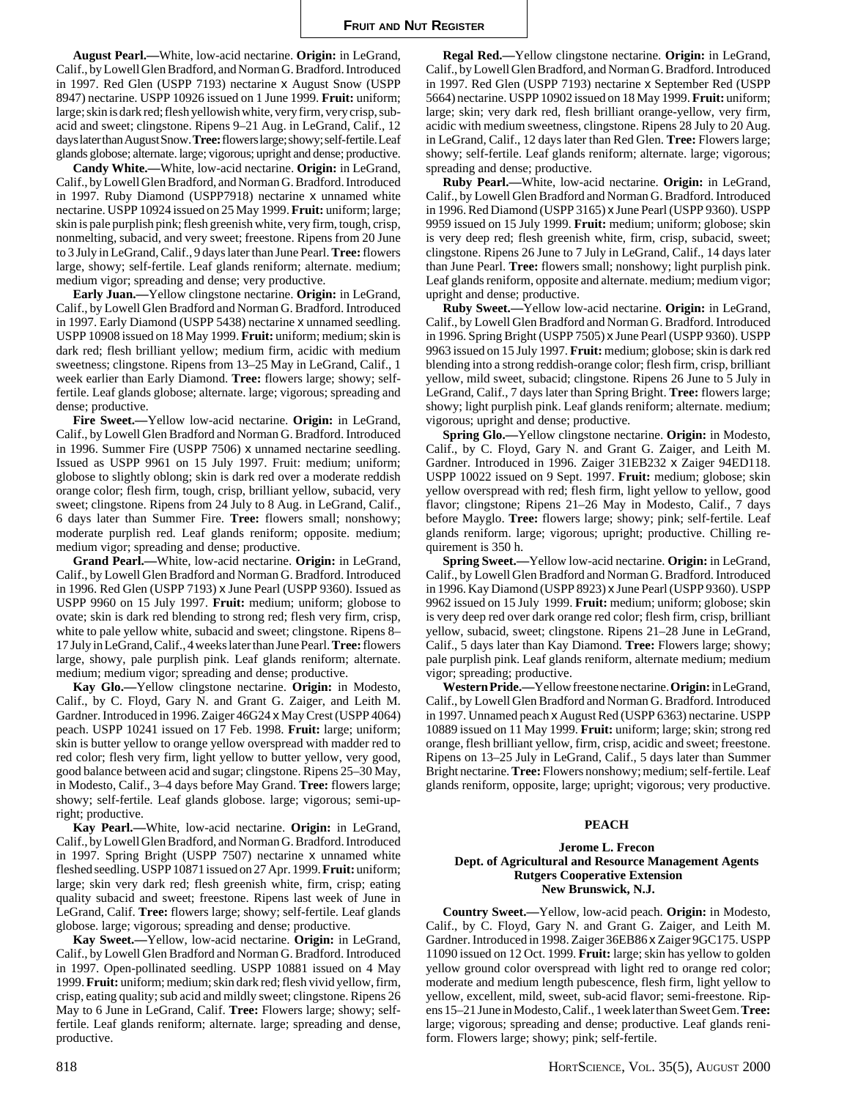**August Pearl.—**White, low-acid nectarine. **Origin:** in LeGrand, Calif., by Lowell Glen Bradford, and Norman G. Bradford. Introduced in 1997. Red Glen (USPP 7193) nectarine x August Snow (USPP 8947) nectarine. USPP 10926 issued on 1 June 1999. **Fruit:** uniform; large; skin is dark red; flesh yellowish white, very firm, very crisp, subacid and sweet; clingstone. Ripens 9–21 Aug. in LeGrand, Calif., 12 days later than August Snow. **Tree:** flowers large; showy; self-fertile. Leaf glands globose; alternate. large; vigorous; upright and dense; productive.

**Candy White.—**White, low-acid nectarine. **Origin:** in LeGrand, Calif., by Lowell Glen Bradford, and Norman G. Bradford. Introduced in 1997. Ruby Diamond (USPP7918) nectarine x unnamed white nectarine. USPP 10924 issued on 25 May 1999. **Fruit:** uniform; large; skin is pale purplish pink; flesh greenish white, very firm, tough, crisp, nonmelting, subacid, and very sweet; freestone. Ripens from 20 June to 3 July in LeGrand, Calif., 9 days later than June Pearl. **Tree:** flowers large, showy; self-fertile. Leaf glands reniform; alternate. medium; medium vigor; spreading and dense; very productive.

**Early Juan.—**Yellow clingstone nectarine. **Origin:** in LeGrand, Calif., by Lowell Glen Bradford and Norman G. Bradford. Introduced in 1997. Early Diamond (USPP 5438) nectarine x unnamed seedling. USPP 10908 issued on 18 May 1999. **Fruit:** uniform; medium; skin is dark red; flesh brilliant yellow; medium firm, acidic with medium sweetness; clingstone. Ripens from 13–25 May in LeGrand, Calif., 1 week earlier than Early Diamond. **Tree:** flowers large; showy; selffertile. Leaf glands globose; alternate. large; vigorous; spreading and dense; productive.

**Fire Sweet.—**Yellow low-acid nectarine. **Origin:** in LeGrand, Calif., by Lowell Glen Bradford and Norman G. Bradford. Introduced in 1996. Summer Fire (USPP 7506) x unnamed nectarine seedling. Issued as USPP 9961 on 15 July 1997. Fruit: medium; uniform; globose to slightly oblong; skin is dark red over a moderate reddish orange color; flesh firm, tough, crisp, brilliant yellow, subacid, very sweet; clingstone. Ripens from 24 July to 8 Aug. in LeGrand, Calif., 6 days later than Summer Fire. **Tree:** flowers small; nonshowy; moderate purplish red. Leaf glands reniform; opposite. medium; medium vigor; spreading and dense; productive.

**Grand Pearl.—**White, low-acid nectarine. **Origin:** in LeGrand, Calif., by Lowell Glen Bradford and Norman G. Bradford. Introduced in 1996. Red Glen (USPP 7193) x June Pearl (USPP 9360). Issued as USPP 9960 on 15 July 1997. **Fruit:** medium; uniform; globose to ovate; skin is dark red blending to strong red; flesh very firm, crisp, white to pale yellow white, subacid and sweet; clingstone. Ripens 8– 17 July in LeGrand, Calif., 4 weeks later than June Pearl. **Tree:** flowers large, showy, pale purplish pink. Leaf glands reniform; alternate. medium; medium vigor; spreading and dense; productive.

**Kay Glo.—**Yellow clingstone nectarine. **Origin:** in Modesto, Calif., by C. Floyd, Gary N. and Grant G. Zaiger, and Leith M. Gardner. Introduced in 1996. Zaiger 46G24 x May Crest (USPP 4064) peach. USPP 10241 issued on 17 Feb. 1998. **Fruit:** large; uniform; skin is butter yellow to orange yellow overspread with madder red to red color; flesh very firm, light yellow to butter yellow, very good, good balance between acid and sugar; clingstone. Ripens 25–30 May, in Modesto, Calif., 3–4 days before May Grand. **Tree:** flowers large; showy; self-fertile. Leaf glands globose. large; vigorous; semi-upright; productive.

**Kay Pearl.—**White, low-acid nectarine. **Origin:** in LeGrand, Calif., by Lowell Glen Bradford, and Norman G. Bradford. Introduced in 1997. Spring Bright (USPP 7507) nectarine x unnamed white fleshed seedling. USPP 10871 issued on 27 Apr. 1999. **Fruit:** uniform; large; skin very dark red; flesh greenish white, firm, crisp; eating quality subacid and sweet; freestone. Ripens last week of June in LeGrand, Calif. **Tree:** flowers large; showy; self-fertile. Leaf glands globose. large; vigorous; spreading and dense; productive.

**Kay Sweet.—**Yellow, low-acid nectarine. **Origin:** in LeGrand, Calif., by Lowell Glen Bradford and Norman G. Bradford. Introduced in 1997. Open-pollinated seedling. USPP 10881 issued on 4 May 1999. **Fruit:** uniform; medium; skin dark red; flesh vivid yellow, firm, crisp, eating quality; sub acid and mildly sweet; clingstone. Ripens 26 May to 6 June in LeGrand, Calif. **Tree:** Flowers large; showy; selffertile. Leaf glands reniform; alternate. large; spreading and dense, productive.

**Regal Red.—**Yellow clingstone nectarine. **Origin:** in LeGrand, Calif., by Lowell Glen Bradford, and Norman G. Bradford. Introduced in 1997. Red Glen (USPP 7193) nectarine x September Red (USPP 5664) nectarine. USPP 10902 issued on 18 May 1999. **Fruit:** uniform; large; skin; very dark red, flesh brilliant orange-yellow, very firm, acidic with medium sweetness, clingstone. Ripens 28 July to 20 Aug. in LeGrand, Calif., 12 days later than Red Glen. **Tree:** Flowers large; showy; self-fertile. Leaf glands reniform; alternate. large; vigorous; spreading and dense; productive.

**Ruby Pearl.—**White, low-acid nectarine. **Origin:** in LeGrand, Calif., by Lowell Glen Bradford and Norman G. Bradford. Introduced in 1996. Red Diamond (USPP 3165) x June Pearl (USPP 9360). USPP 9959 issued on 15 July 1999. **Fruit:** medium; uniform; globose; skin is very deep red; flesh greenish white, firm, crisp, subacid, sweet; clingstone. Ripens 26 June to 7 July in LeGrand, Calif., 14 days later than June Pearl. **Tree:** flowers small; nonshowy; light purplish pink. Leaf glands reniform, opposite and alternate. medium; medium vigor; upright and dense; productive.

**Ruby Sweet.—**Yellow low-acid nectarine. **Origin:** in LeGrand, Calif., by Lowell Glen Bradford and Norman G. Bradford. Introduced in 1996. Spring Bright (USPP 7505) x June Pearl (USPP 9360). USPP 9963 issued on 15 July 1997. **Fruit:** medium; globose; skin is dark red blending into a strong reddish-orange color; flesh firm, crisp, brilliant yellow, mild sweet, subacid; clingstone. Ripens 26 June to 5 July in LeGrand, Calif., 7 days later than Spring Bright. **Tree:** flowers large; showy; light purplish pink. Leaf glands reniform; alternate. medium; vigorous; upright and dense; productive.

**Spring Glo.—**Yellow clingstone nectarine. **Origin:** in Modesto, Calif., by C. Floyd, Gary N. and Grant G. Zaiger, and Leith M. Gardner. Introduced in 1996. Zaiger 31EB232 x Zaiger 94ED118. USPP 10022 issued on 9 Sept. 1997. **Fruit:** medium; globose; skin yellow overspread with red; flesh firm, light yellow to yellow, good flavor; clingstone; Ripens 21–26 May in Modesto, Calif., 7 days before Mayglo. **Tree:** flowers large; showy; pink; self-fertile. Leaf glands reniform. large; vigorous; upright; productive. Chilling requirement is 350 h.

**Spring Sweet.—**Yellow low-acid nectarine. **Origin:** in LeGrand, Calif., by Lowell Glen Bradford and Norman G. Bradford. Introduced in 1996. Kay Diamond (USPP 8923) x June Pearl (USPP 9360). USPP 9962 issued on 15 July 1999. **Fruit:** medium; uniform; globose; skin is very deep red over dark orange red color; flesh firm, crisp, brilliant yellow, subacid, sweet; clingstone. Ripens 21–28 June in LeGrand, Calif., 5 days later than Kay Diamond. **Tree:** Flowers large; showy; pale purplish pink. Leaf glands reniform, alternate medium; medium vigor; spreading; productive.

**Western Pride.—**Yellow freestone nectarine. **Origin:** in LeGrand, Calif., by Lowell Glen Bradford and Norman G. Bradford. Introduced in 1997. Unnamed peach x August Red (USPP 6363) nectarine. USPP 10889 issued on 11 May 1999. **Fruit:** uniform; large; skin; strong red orange, flesh brilliant yellow, firm, crisp, acidic and sweet; freestone. Ripens on 13–25 July in LeGrand, Calif., 5 days later than Summer Bright nectarine. **Tree:** Flowers nonshowy; medium; self-fertile. Leaf glands reniform, opposite, large; upright; vigorous; very productive.

#### **PEACH**

## **Jerome L. Frecon Dept. of Agricultural and Resource Management Agents Rutgers Cooperative Extension New Brunswick, N.J.**

**Country Sweet.—**Yellow, low-acid peach. **Origin:** in Modesto, Calif., by C. Floyd, Gary N. and Grant G. Zaiger, and Leith M. Gardner. Introduced in 1998. Zaiger 36EB86 x Zaiger 9GC175. USPP 11090 issued on 12 Oct. 1999. **Fruit:** large; skin has yellow to golden yellow ground color overspread with light red to orange red color; moderate and medium length pubescence, flesh firm, light yellow to yellow, excellent, mild, sweet, sub-acid flavor; semi-freestone. Ripens 15–21 June in Modesto, Calif., 1 week later than Sweet Gem. **Tree:** large; vigorous; spreading and dense; productive. Leaf glands reniform. Flowers large; showy; pink; self-fertile.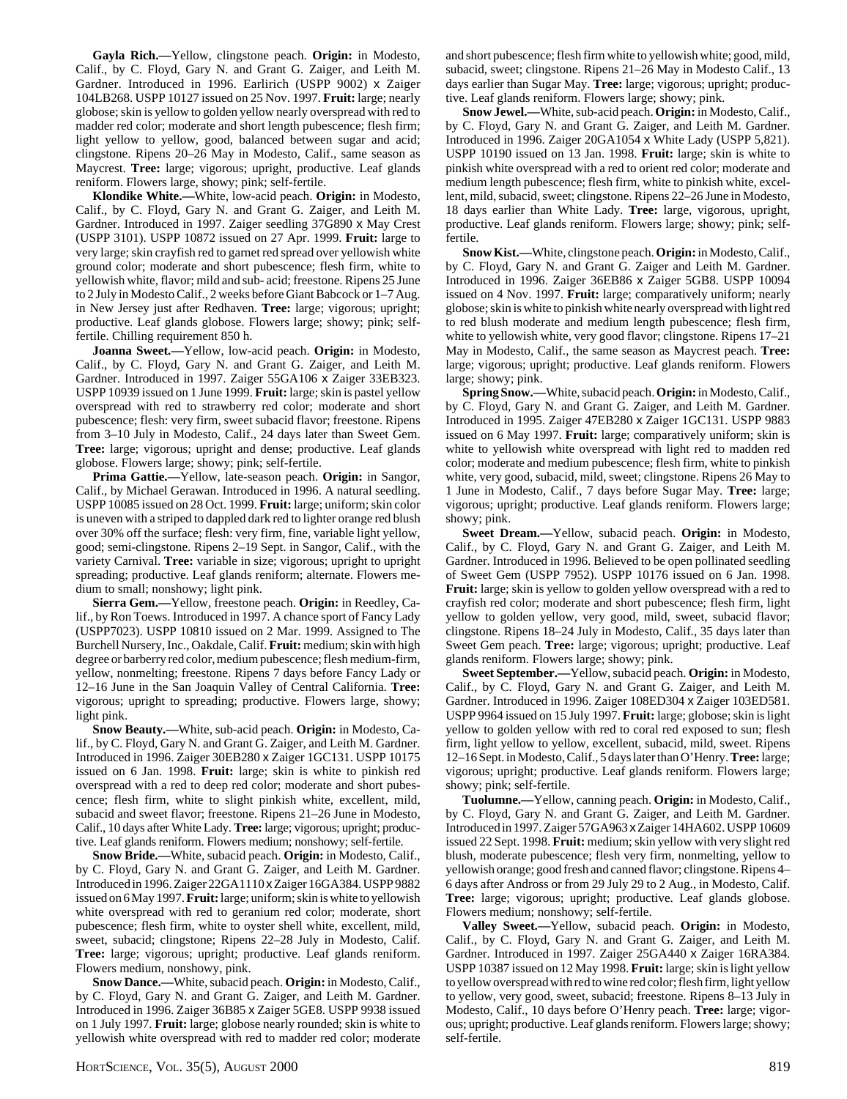**Gayla Rich.—**Yellow, clingstone peach. **Origin:** in Modesto, Calif., by C. Floyd, Gary N. and Grant G. Zaiger, and Leith M. Gardner. Introduced in 1996. Earlirich (USPP 9002) x Zaiger 104LB268. USPP 10127 issued on 25 Nov. 1997. **Fruit:** large; nearly globose; skin is yellow to golden yellow nearly overspread with red to madder red color; moderate and short length pubescence; flesh firm; light yellow to yellow, good, balanced between sugar and acid; clingstone. Ripens 20–26 May in Modesto, Calif., same season as Maycrest. **Tree:** large; vigorous; upright, productive. Leaf glands reniform. Flowers large, showy; pink; self-fertile.

**Klondike White.—**White, low-acid peach. **Origin:** in Modesto, Calif., by C. Floyd, Gary N. and Grant G. Zaiger, and Leith M. Gardner. Introduced in 1997. Zaiger seedling 37G890 x May Crest (USPP 3101). USPP 10872 issued on 27 Apr. 1999. **Fruit:** large to very large; skin crayfish red to garnet red spread over yellowish white ground color; moderate and short pubescence; flesh firm, white to yellowish white, flavor; mild and sub- acid; freestone. Ripens 25 June to 2 July in Modesto Calif., 2 weeks before Giant Babcock or 1–7 Aug. in New Jersey just after Redhaven. **Tree:** large; vigorous; upright; productive. Leaf glands globose. Flowers large; showy; pink; selffertile. Chilling requirement 850 h.

**Joanna Sweet.—**Yellow, low-acid peach. **Origin:** in Modesto, Calif., by C. Floyd, Gary N. and Grant G. Zaiger, and Leith M. Gardner. Introduced in 1997. Zaiger 55GA106 x Zaiger 33EB323. USPP 10939 issued on 1 June 1999. **Fruit:** large; skin is pastel yellow overspread with red to strawberry red color; moderate and short pubescence; flesh: very firm, sweet subacid flavor; freestone. Ripens from 3–10 July in Modesto, Calif., 24 days later than Sweet Gem. **Tree:** large; vigorous; upright and dense; productive. Leaf glands globose. Flowers large; showy; pink; self-fertile.

**Prima Gattie.—**Yellow, late-season peach. **Origin:** in Sangor, Calif., by Michael Gerawan. Introduced in 1996. A natural seedling. USPP 10085 issued on 28 Oct. 1999. **Fruit:** large; uniform; skin color is uneven with a striped to dappled dark red to lighter orange red blush over 30% off the surface; flesh: very firm, fine, variable light yellow, good; semi-clingstone. Ripens 2–19 Sept. in Sangor, Calif., with the variety Carnival. **Tree:** variable in size; vigorous; upright to upright spreading; productive. Leaf glands reniform; alternate. Flowers medium to small; nonshowy; light pink.

**Sierra Gem.—**Yellow, freestone peach. **Origin:** in Reedley, Calif., by Ron Toews. Introduced in 1997. A chance sport of Fancy Lady (USPP7023). USPP 10810 issued on 2 Mar. 1999. Assigned to The Burchell Nursery, Inc., Oakdale, Calif. **Fruit:** medium; skin with high degree or barberry red color, medium pubescence; flesh medium-firm, yellow, nonmelting; freestone. Ripens 7 days before Fancy Lady or 12–16 June in the San Joaquin Valley of Central California. **Tree:** vigorous; upright to spreading; productive. Flowers large, showy; light pink.

**Snow Beauty.—**White, sub-acid peach. **Origin:** in Modesto, Calif., by C. Floyd, Gary N. and Grant G. Zaiger, and Leith M. Gardner. Introduced in 1996. Zaiger 30EB280 x Zaiger 1GC131. USPP 10175 issued on 6 Jan. 1998. **Fruit:** large; skin is white to pinkish red overspread with a red to deep red color; moderate and short pubescence; flesh firm, white to slight pinkish white, excellent, mild, subacid and sweet flavor; freestone. Ripens 21–26 June in Modesto, Calif., 10 days after White Lady. **Tree:** large; vigorous; upright; productive. Leaf glands reniform. Flowers medium; nonshowy; self-fertile.

**Snow Bride.—**White, subacid peach. **Origin:** in Modesto, Calif., by C. Floyd, Gary N. and Grant G. Zaiger, and Leith M. Gardner. Introduced in 1996. Zaiger 22GA1110 x Zaiger 16GA384. USPP 9882 issued on 6 May 1997. **Fruit:** large; uniform; skin is white to yellowish white overspread with red to geranium red color; moderate, short pubescence; flesh firm, white to oyster shell white, excellent, mild, sweet, subacid; clingstone; Ripens 22–28 July in Modesto, Calif. **Tree:** large; vigorous; upright; productive. Leaf glands reniform. Flowers medium, nonshowy, pink.

**Snow Dance.—**White, subacid peach. **Origin:** in Modesto, Calif., by C. Floyd, Gary N. and Grant G. Zaiger, and Leith M. Gardner. Introduced in 1996. Zaiger 36B85 x Zaiger 5GE8. USPP 9938 issued on 1 July 1997. **Fruit:** large; globose nearly rounded; skin is white to yellowish white overspread with red to madder red color; moderate and short pubescence; flesh firm white to yellowish white; good, mild, subacid, sweet; clingstone. Ripens 21–26 May in Modesto Calif., 13 days earlier than Sugar May. **Tree:** large; vigorous; upright; productive. Leaf glands reniform. Flowers large; showy; pink.

**Snow Jewel.—**White, sub-acid peach. **Origin:** in Modesto, Calif., by C. Floyd, Gary N. and Grant G. Zaiger, and Leith M. Gardner. Introduced in 1996. Zaiger 20GA1054 x White Lady (USPP 5,821). USPP 10190 issued on 13 Jan. 1998. **Fruit:** large; skin is white to pinkish white overspread with a red to orient red color; moderate and medium length pubescence; flesh firm, white to pinkish white, excellent, mild, subacid, sweet; clingstone. Ripens 22–26 June in Modesto, 18 days earlier than White Lady. **Tree:** large, vigorous, upright, productive. Leaf glands reniform. Flowers large; showy; pink; selffertile.

**Snow Kist.—**White, clingstone peach. **Origin:** in Modesto, Calif., by C. Floyd, Gary N. and Grant G. Zaiger and Leith M. Gardner. Introduced in 1996. Zaiger 36EB86 x Zaiger 5GB8. USPP 10094 issued on 4 Nov. 1997. **Fruit:** large; comparatively uniform; nearly globose; skin is white to pinkish white nearly overspread with light red to red blush moderate and medium length pubescence; flesh firm, white to yellowish white, very good flavor; clingstone. Ripens 17–21 May in Modesto, Calif., the same season as Maycrest peach. **Tree:** large; vigorous; upright; productive. Leaf glands reniform. Flowers large; showy; pink.

**Spring Snow.—**White, subacid peach. **Origin:** in Modesto, Calif., by C. Floyd, Gary N. and Grant G. Zaiger, and Leith M. Gardner. Introduced in 1995. Zaiger 47EB280 x Zaiger 1GC131. USPP 9883 issued on 6 May 1997. **Fruit:** large; comparatively uniform; skin is white to yellowish white overspread with light red to madden red color; moderate and medium pubescence; flesh firm, white to pinkish white, very good, subacid, mild, sweet; clingstone. Ripens 26 May to 1 June in Modesto, Calif., 7 days before Sugar May. **Tree:** large; vigorous; upright; productive. Leaf glands reniform. Flowers large; showy; pink.

**Sweet Dream.—**Yellow, subacid peach. **Origin:** in Modesto, Calif., by C. Floyd, Gary N. and Grant G. Zaiger, and Leith M. Gardner. Introduced in 1996. Believed to be open pollinated seedling of Sweet Gem (USPP 7952). USPP 10176 issued on 6 Jan. 1998. **Fruit:** large; skin is yellow to golden yellow overspread with a red to crayfish red color; moderate and short pubescence; flesh firm, light yellow to golden yellow, very good, mild, sweet, subacid flavor; clingstone. Ripens 18–24 July in Modesto, Calif., 35 days later than Sweet Gem peach. **Tree:** large; vigorous; upright; productive. Leaf glands reniform. Flowers large; showy; pink.

**Sweet September.—**Yellow, subacid peach. **Origin:** in Modesto, Calif., by C. Floyd, Gary N. and Grant G. Zaiger, and Leith M. Gardner. Introduced in 1996. Zaiger 108ED304 x Zaiger 103ED581. USPP 9964 issued on 15 July 1997. **Fruit:** large; globose; skin is light yellow to golden yellow with red to coral red exposed to sun; flesh firm, light yellow to yellow, excellent, subacid, mild, sweet. Ripens 12–16 Sept. in Modesto, Calif., 5 days later than O'Henry. **Tree:** large; vigorous; upright; productive. Leaf glands reniform. Flowers large; showy; pink; self-fertile.

**Tuolumne.—**Yellow, canning peach. **Origin:** in Modesto, Calif., by C. Floyd, Gary N. and Grant G. Zaiger, and Leith M. Gardner. Introduced in 1997. Zaiger 57GA963 x Zaiger 14HA602. USPP 10609 issued 22 Sept. 1998. **Fruit:** medium; skin yellow with very slight red blush, moderate pubescence; flesh very firm, nonmelting, yellow to yellowish orange; good fresh and canned flavor; clingstone. Ripens 4– 6 days after Andross or from 29 July 29 to 2 Aug., in Modesto, Calif. **Tree:** large; vigorous; upright; productive. Leaf glands globose. Flowers medium; nonshowy; self-fertile.

**Valley Sweet.—**Yellow, subacid peach. **Origin:** in Modesto, Calif., by C. Floyd, Gary N. and Grant G. Zaiger, and Leith M. Gardner. Introduced in 1997. Zaiger 25GA440 x Zaiger 16RA384. USPP 10387 issued on 12 May 1998. **Fruit:** large; skin is light yellow to yellow overspread with red to wine red color; flesh firm, light yellow to yellow, very good, sweet, subacid; freestone. Ripens 8–13 July in Modesto, Calif., 10 days before O'Henry peach. **Tree:** large; vigorous; upright; productive. Leaf glands reniform. Flowers large; showy; self-fertile.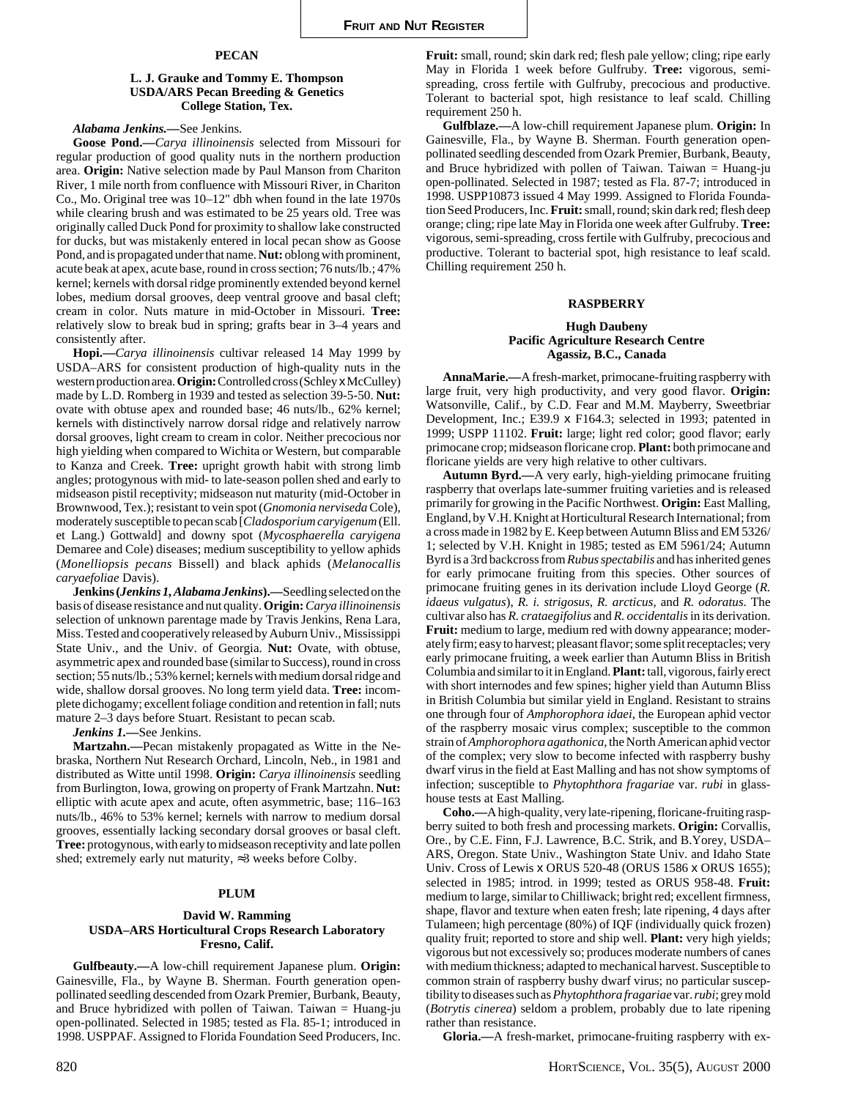# **PECAN**

# **L. J. Grauke and Tommy E. Thompson USDA/ARS Pecan Breeding & Genetics College Station, Tex.**

#### *Alabama Jenkins.—*See Jenkins.

**Goose Pond.—***Carya illinoinensis* selected from Missouri for regular production of good quality nuts in the northern production area. **Origin:** Native selection made by Paul Manson from Chariton River, 1 mile north from confluence with Missouri River, in Chariton Co., Mo. Original tree was 10–12" dbh when found in the late 1970s while clearing brush and was estimated to be 25 years old. Tree was originally called Duck Pond for proximity to shallow lake constructed for ducks, but was mistakenly entered in local pecan show as Goose Pond, and is propagated under that name. **Nut:** oblong with prominent, acute beak at apex, acute base, round in cross section; 76 nuts/lb.; 47% kernel; kernels with dorsal ridge prominently extended beyond kernel lobes, medium dorsal grooves, deep ventral groove and basal cleft; cream in color. Nuts mature in mid-October in Missouri. **Tree:** relatively slow to break bud in spring; grafts bear in 3–4 years and consistently after.

**Hopi.—***Carya illinoinensis* cultivar released 14 May 1999 by USDA–ARS for consistent production of high-quality nuts in the western production area. **Origin:** Controlled cross (Schley x McCulley) made by L.D. Romberg in 1939 and tested as selection 39-5-50. **Nut:** ovate with obtuse apex and rounded base; 46 nuts/lb., 62% kernel; kernels with distinctively narrow dorsal ridge and relatively narrow dorsal grooves, light cream to cream in color. Neither precocious nor high yielding when compared to Wichita or Western, but comparable to Kanza and Creek. **Tree:** upright growth habit with strong limb angles; protogynous with mid- to late-season pollen shed and early to midseason pistil receptivity; midseason nut maturity (mid-October in Brownwood, Tex.); resistant to vein spot (*Gnomonia nerviseda* Cole), moderately susceptible to pecan scab [*Cladosporium caryigenum* (Ell. et Lang.) Gottwald] and downy spot (*Mycosphaerella caryigena* Demaree and Cole) diseases; medium susceptibility to yellow aphids (*Monelliopsis pecans* Bissell) and black aphids (*Melanocallis caryaefoliae* Davis).

**Jenkins (***Jenkins 1, Alabama Jenkins***).—**Seedling selected on the basis of disease resistance and nut quality. **Origin:***Carya illinoinensis* selection of unknown parentage made by Travis Jenkins, Rena Lara, Miss. Tested and cooperatively released by Auburn Univ., Mississippi State Univ., and the Univ. of Georgia. **Nut:** Ovate, with obtuse, asymmetric apex and rounded base (similar to Success), round in cross section; 55 nuts/lb.; 53% kernel; kernels with medium dorsal ridge and wide, shallow dorsal grooves. No long term yield data. **Tree:** incomplete dichogamy; excellent foliage condition and retention in fall; nuts mature 2–3 days before Stuart. Resistant to pecan scab.

*Jenkins 1.—*See Jenkins.

**Martzahn.—**Pecan mistakenly propagated as Witte in the Nebraska, Northern Nut Research Orchard, Lincoln, Neb., in 1981 and distributed as Witte until 1998. **Origin:** *Carya illinoinensis* seedling from Burlington, Iowa, growing on property of Frank Martzahn. **Nut:** elliptic with acute apex and acute, often asymmetric, base; 116–163 nuts/lb., 46% to 53% kernel; kernels with narrow to medium dorsal grooves, essentially lacking secondary dorsal grooves or basal cleft. **Tree:** protogynous, with early to midseason receptivity and late pollen shed; extremely early nut maturity, ≈3 weeks before Colby.

# **PLUM**

# **David W. Ramming USDA–ARS Horticultural Crops Research Laboratory Fresno, Calif.**

**Gulfbeauty.—**A low-chill requirement Japanese plum. **Origin:** Gainesville, Fla., by Wayne B. Sherman. Fourth generation openpollinated seedling descended from Ozark Premier, Burbank, Beauty, and Bruce hybridized with pollen of Taiwan. Taiwan  $=$  Huang-ju open-pollinated. Selected in 1985; tested as Fla. 85-1; introduced in 1998. USPPAF. Assigned to Florida Foundation Seed Producers, Inc.

**Fruit:** small, round; skin dark red; flesh pale yellow; cling; ripe early May in Florida 1 week before Gulfruby. **Tree:** vigorous, semispreading, cross fertile with Gulfruby, precocious and productive. Tolerant to bacterial spot, high resistance to leaf scald. Chilling requirement 250 h.

**Gulfblaze.—**A low-chill requirement Japanese plum. **Origin:** In Gainesville, Fla., by Wayne B. Sherman. Fourth generation openpollinated seedling descended from Ozark Premier, Burbank, Beauty, and Bruce hybridized with pollen of Taiwan. Taiwan = Huang-ju open-pollinated. Selected in 1987; tested as Fla. 87-7; introduced in 1998. USPP10873 issued 4 May 1999. Assigned to Florida Foundation Seed Producers, Inc. **Fruit:** small, round; skin dark red; flesh deep orange; cling; ripe late May in Florida one week after Gulfruby. **Tree:** vigorous, semi-spreading, cross fertile with Gulfruby, precocious and productive. Tolerant to bacterial spot, high resistance to leaf scald. Chilling requirement 250 h.

#### **RASPBERRY**

# **Hugh Daubeny Pacific Agriculture Research Centre Agassiz, B.C., Canada**

**AnnaMarie.—**A fresh-market, primocane-fruiting raspberry with large fruit, very high productivity, and very good flavor. **Origin:** Watsonville, Calif., by C.D. Fear and M.M. Mayberry, Sweetbriar Development, Inc.; E39.9 x F164.3; selected in 1993; patented in 1999; USPP 11102. **Fruit:** large; light red color; good flavor; early primocane crop; midseason floricane crop. **Plant:** both primocane and floricane yields are very high relative to other cultivars.

**Autumn Byrd.—**A very early, high-yielding primocane fruiting raspberry that overlaps late-summer fruiting varieties and is released primarily for growing in the Pacific Northwest. **Origin:** East Malling, England, by V.H. Knight at Horticultural Research International; from a cross made in 1982 by E. Keep between Autumn Bliss and EM 5326/ 1; selected by V.H. Knight in 1985; tested as EM 5961/24; Autumn Byrd is a 3rd backcross from *Rubus spectabilis* and has inherited genes for early primocane fruiting from this species. Other sources of primocane fruiting genes in its derivation include Lloyd George (*R. idaeus vulgatus*), *R. i. strigosus*, *R. arcticus,* and *R. odoratus*. The cultivar also has *R. crataegifolius* and *R. occidentalis* in its derivation. **Fruit:** medium to large, medium red with downy appearance; moderately firm; easy to harvest; pleasant flavor; some split receptacles; very early primocane fruiting, a week earlier than Autumn Bliss in British Columbia and similar to it in England. **Plant:** tall, vigorous, fairly erect with short internodes and few spines; higher yield than Autumn Bliss in British Columbia but similar yield in England. Resistant to strains one through four of *Amphorophora idaei*, the European aphid vector of the raspberry mosaic virus complex; susceptible to the common strain of *Amphorophora agathonica,* the North American aphid vector of the complex; very slow to become infected with raspberry bushy dwarf virus in the field at East Malling and has not show symptoms of infection; susceptible to *Phytophthora fragariae* var. *rubi* in glasshouse tests at East Malling.

**Coho.—**A high-quality, very late-ripening, floricane-fruiting raspberry suited to both fresh and processing markets. **Origin:** Corvallis, Ore., by C.E. Finn, F.J. Lawrence, B.C. Strik, and B.Yorey, USDA– ARS, Oregon. State Univ., Washington State Univ. and Idaho State Univ. Cross of Lewis x ORUS 520-48 (ORUS 1586 x ORUS 1655); selected in 1985; introd. in 1999; tested as ORUS 958-48. **Fruit:** medium to large, similar to Chilliwack; bright red; excellent firmness, shape, flavor and texture when eaten fresh; late ripening, 4 days after Tulameen; high percentage (80%) of IQF (individually quick frozen) quality fruit; reported to store and ship well. **Plant:** very high yields; vigorous but not excessively so; produces moderate numbers of canes with medium thickness; adapted to mechanical harvest. Susceptible to common strain of raspberry bushy dwarf virus; no particular susceptibility to diseases such as *Phytophthora fragariae* var. *rubi*; grey mold (*Botrytis cinerea*) seldom a problem, probably due to late ripening rather than resistance.

**Gloria.—**A fresh-market, primocane-fruiting raspberry with ex-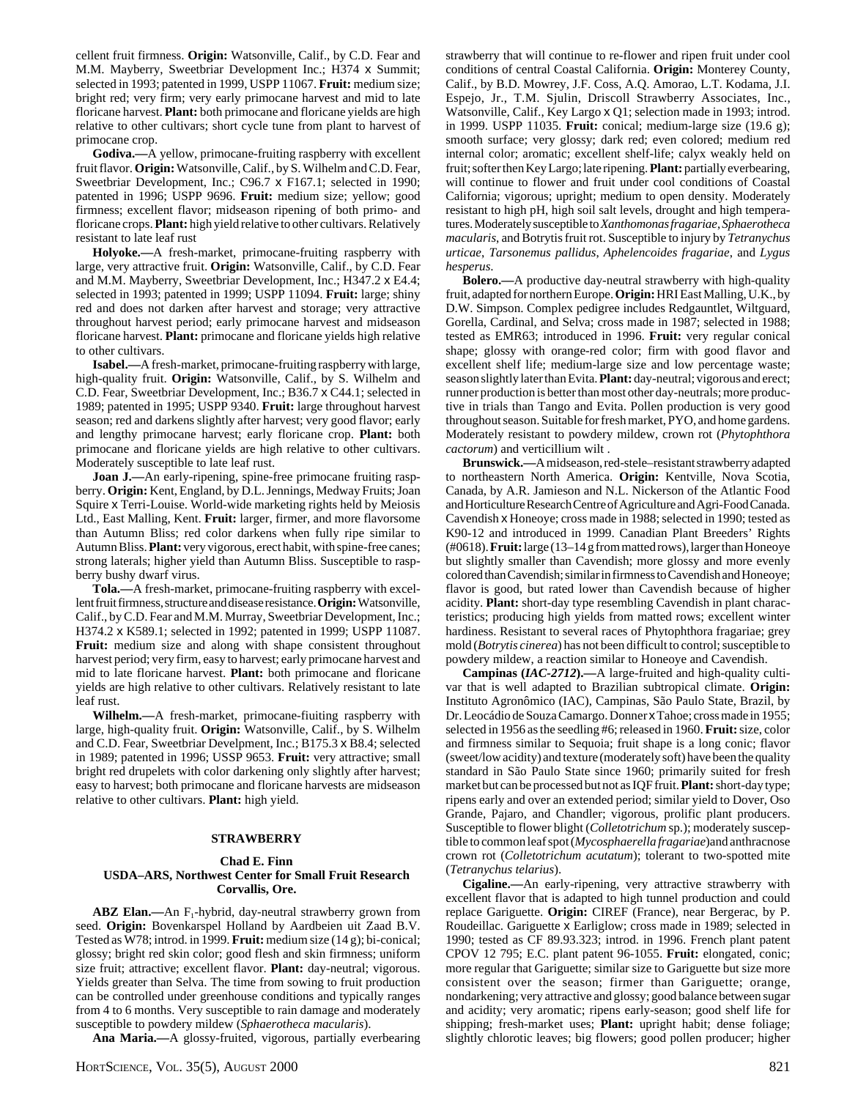cellent fruit firmness. **Origin:** Watsonville, Calif., by C.D. Fear and M.M. Mayberry, Sweetbriar Development Inc.; H374 x Summit; selected in 1993; patented in 1999, USPP 11067. **Fruit:** medium size; bright red; very firm; very early primocane harvest and mid to late floricane harvest. **Plant:** both primocane and floricane yields are high relative to other cultivars; short cycle tune from plant to harvest of primocane crop.

**Godiva.—**A yellow, primocane-fruiting raspberry with excellent fruit flavor. **Origin:** Watsonville, Calif., by S. Wilhelm and C.D. Fear, Sweetbriar Development, Inc.; C96.7 x F167.1; selected in 1990; patented in 1996; USPP 9696. **Fruit:** medium size; yellow; good firmness; excellent flavor; midseason ripening of both primo- and floricane crops. **Plant:** high yield relative to other cultivars. Relatively resistant to late leaf rust

**Holyoke.—**A fresh-market, primocane-fruiting raspberry with large, very attractive fruit. **Origin:** Watsonville, Calif., by C.D. Fear and M.M. Mayberry, Sweetbriar Development, Inc.; H347.2 x E4.4; selected in 1993; patented in 1999; USPP 11094. **Fruit:** large; shiny red and does not darken after harvest and storage; very attractive throughout harvest period; early primocane harvest and midseason floricane harvest. **Plant:** primocane and floricane yields high relative to other cultivars.

**Isabel.—**A fresh-market, primocane-fruiting raspberry with large, high-quality fruit. **Origin:** Watsonville, Calif., by S. Wilhelm and C.D. Fear, Sweetbriar Development, Inc.; B36.7 x C44.1; selected in 1989; patented in 1995; USPP 9340. **Fruit:** large throughout harvest season; red and darkens slightly after harvest; very good flavor; early and lengthy primocane harvest; early floricane crop. **Plant:** both primocane and floricane yields are high relative to other cultivars. Moderately susceptible to late leaf rust.

**Joan J.—**An early-ripening, spine-free primocane fruiting raspberry. **Origin:** Kent, England, by D.L. Jennings, Medway Fruits; Joan Squire x Terri-Louise. World-wide marketing rights held by Meiosis Ltd., East Malling, Kent. **Fruit:** larger, firmer, and more flavorsome than Autumn Bliss; red color darkens when fully ripe similar to Autumn Bliss. **Plant:** very vigorous, erect habit, with spine-free canes; strong laterals; higher yield than Autumn Bliss. Susceptible to raspberry bushy dwarf virus.

**Tola.—**A fresh-market, primocane-fruiting raspberry with excellent fruit firmness, structure and disease resistance. **Origin:** Watsonville, Calif., by C.D. Fear and M.M. Murray, Sweetbriar Development, Inc.; H374.2 x K589.1; selected in 1992; patented in 1999; USPP 11087. **Fruit:** medium size and along with shape consistent throughout harvest period; very firm, easy to harvest; early primocane harvest and mid to late floricane harvest. **Plant:** both primocane and floricane yields are high relative to other cultivars. Relatively resistant to late leaf rust.

**Wilhelm.—**A fresh-market, primocane-fiuiting raspberry with large, high-quality fruit. **Origin:** Watsonville, Calif., by S. Wilhelm and C.D. Fear, Sweetbriar Develpment, Inc.; B175.3 x B8.4; selected in 1989; patented in 1996; USSP 9653. **Fruit:** very attractive; small bright red drupelets with color darkening only slightly after harvest; easy to harvest; both primocane and floricane harvests are midseason relative to other cultivars. **Plant:** high yield.

# **STRAWBERRY**

## **Chad E. Finn USDA–ARS, Northwest Center for Small Fruit Research Corvallis, Ore.**

**ABZ Elan.—**An F<sub>1</sub>-hybrid, day-neutral strawberry grown from seed. **Origin:** Bovenkarspel Holland by Aardbeien uit Zaad B.V. Tested as W78; introd. in 1999. **Fruit:** medium size (14 g); bi-conical; glossy; bright red skin color; good flesh and skin firmness; uniform size fruit; attractive; excellent flavor. **Plant:** day-neutral; vigorous. Yields greater than Selva. The time from sowing to fruit production can be controlled under greenhouse conditions and typically ranges from 4 to 6 months. Very susceptible to rain damage and moderately susceptible to powdery mildew (*Sphaerotheca macularis*).

**Ana Maria.—**A glossy-fruited, vigorous, partially everbearing

strawberry that will continue to re-flower and ripen fruit under cool conditions of central Coastal California. **Origin:** Monterey County, Calif., by B.D. Mowrey, J.F. Coss, A.Q. Amorao, L.T. Kodama, J.I. Espejo, Jr., T.M. Sjulin, Driscoll Strawberry Associates, Inc., Watsonville, Calif., Key Largo x Q1; selection made in 1993; introd. in 1999. USPP 11035. **Fruit:** conical; medium-large size (19.6 g); smooth surface; very glossy; dark red; even colored; medium red internal color; aromatic; excellent shelf-life; calyx weakly held on fruit; softer then Key Largo; late ripening. **Plant:** partially everbearing, will continue to flower and fruit under cool conditions of Coastal California; vigorous; upright; medium to open density. Moderately resistant to high pH, high soil salt levels, drought and high temperatures. Moderately susceptible to *Xanthomonas fragariae*, *Sphaerotheca macularis*, and Botrytis fruit rot. Susceptible to injury by *Tetranychus urticae*, *Tarsonemus pallidus*, *Aphelencoides fragariae*, and *Lygus hesperus*.

**Bolero.—**A productive day-neutral strawberry with high-quality fruit, adapted for northern Europe. **Origin:** HRI East Malling, U.K., by D.W. Simpson. Complex pedigree includes Redgauntlet, Wiltguard, Gorella, Cardinal, and Selva; cross made in 1987; selected in 1988; tested as EMR63; introduced in 1996. **Fruit:** very regular conical shape; glossy with orange-red color; firm with good flavor and excellent shelf life; medium-large size and low percentage waste; season slightly later than Evita. **Plant:** day-neutral; vigorous and erect; runner production is better than most other day-neutrals; more productive in trials than Tango and Evita. Pollen production is very good throughout season. Suitable for fresh market, PYO, and home gardens. Moderately resistant to powdery mildew, crown rot (*Phytophthora cactorum*) and verticillium wilt .

**Brunswick.—**A midseason, red-stele–resistant strawberry adapted to northeastern North America. **Origin:** Kentville, Nova Scotia, Canada, by A.R. Jamieson and N.L. Nickerson of the Atlantic Food and Horticulture Research Centre of Agriculture and Agri-Food Canada. Cavendish x Honeoye; cross made in 1988; selected in 1990; tested as K90-12 and introduced in 1999. Canadian Plant Breeders' Rights (#0618). **Fruit:** large (13–14 g from matted rows), larger than Honeoye but slightly smaller than Cavendish; more glossy and more evenly colored than Cavendish; similar in firmness to Cavendish and Honeoye; flavor is good, but rated lower than Cavendish because of higher acidity. **Plant:** short-day type resembling Cavendish in plant characteristics; producing high yields from matted rows; excellent winter hardiness. Resistant to several races of Phytophthora fragariae; grey mold (*Botrytis cinerea*) has not been difficult to control; susceptible to powdery mildew, a reaction similar to Honeoye and Cavendish.

**Campinas (***IAC-2712***).—**A large-fruited and high-quality cultivar that is well adapted to Brazilian subtropical climate. **Origin:** Instituto Agronômico (IAC), Campinas, São Paulo State, Brazil, by Dr. Leocádio de Souza Camargo. Donner x Tahoe; cross made in 1955; selected in 1956 as the seedling #6; released in 1960. **Fruit:** size, color and firmness similar to Sequoia; fruit shape is a long conic; flavor (sweet/low acidity) and texture (moderately soft) have been the quality standard in São Paulo State since 1960; primarily suited for fresh market but can be processed but not as IQF fruit. **Plant:** short-day type; ripens early and over an extended period; similar yield to Dover, Oso Grande, Pajaro, and Chandler; vigorous, prolific plant producers. Susceptible to flower blight (*Colletotrichum* sp.); moderately susceptible to common leaf spot (*Mycosphaerella fragariae*)and anthracnose crown rot (*Colletotrichum acutatum*); tolerant to two-spotted mite (*Tetranychus telarius*).

**Cigaline.—**An early-ripening, very attractive strawberry with excellent flavor that is adapted to high tunnel production and could replace Gariguette. **Origin:** CIREF (France), near Bergerac, by P. Roudeillac. Gariguette x Earliglow; cross made in 1989; selected in 1990; tested as CF 89.93.323; introd. in 1996. French plant patent CPOV 12 795; E.C. plant patent 96-1055. **Fruit:** elongated, conic; more regular that Gariguette; similar size to Gariguette but size more consistent over the season; firmer than Gariguette; orange, nondarkening; very attractive and glossy; good balance between sugar and acidity; very aromatic; ripens early-season; good shelf life for shipping; fresh-market uses; **Plant:** upright habit; dense foliage; slightly chlorotic leaves; big flowers; good pollen producer; higher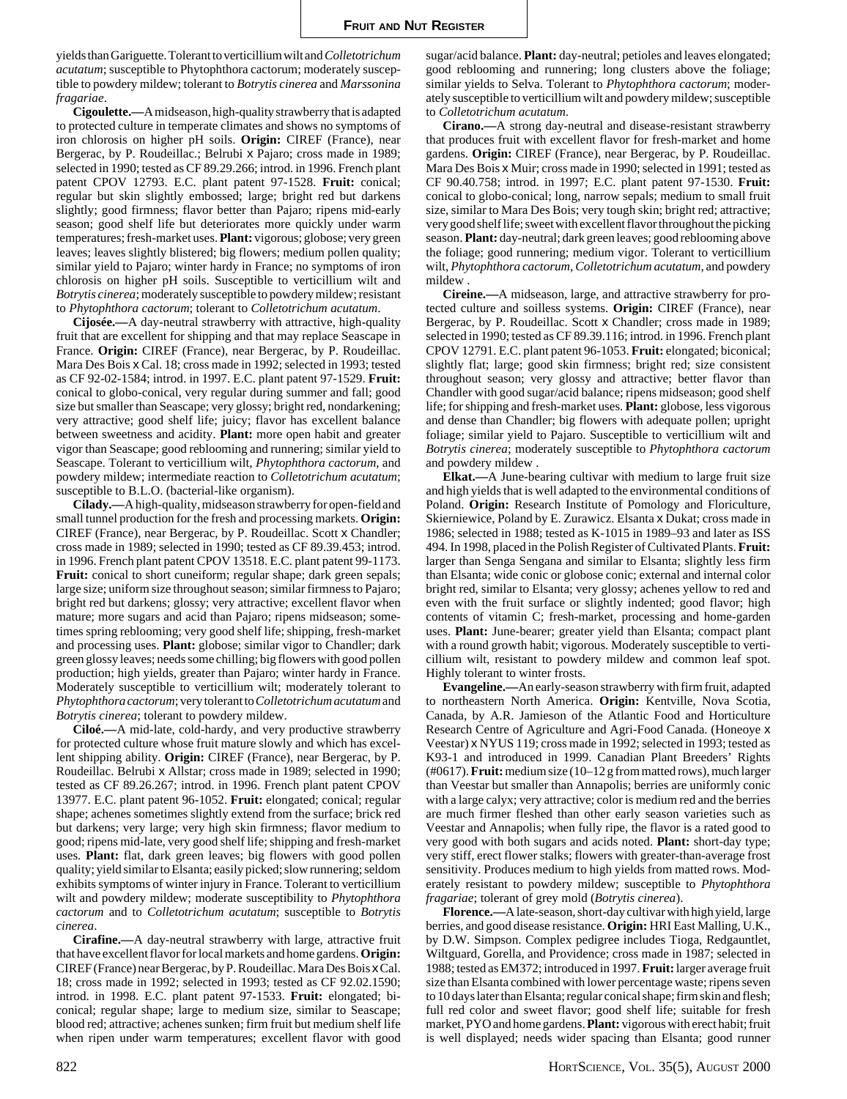yields than Gariguette. Tolerant to verticillium wilt and *Colletotrichum acutatum*; susceptible to Phytophthora cactorum; moderately susceptible to powdery mildew; tolerant to *Botrytis cinerea* and *Marssonina fragariae*.

**Cigoulette.—**A midseason, high-quality strawberry that is adapted to protected culture in temperate climates and shows no symptoms of iron chlorosis on higher pH soils. **Origin:** CIREF (France), near Bergerac, by P. Roudeillac.; Belrubi x Pajaro; cross made in 1989; selected in 1990; tested as CF 89.29.266; introd. in 1996. French plant patent CPOV 12793. E.C. plant patent 97-1528. **Fruit:** conical; regular but skin slightly embossed; large; bright red but darkens slightly; good firmness; flavor better than Pajaro; ripens mid-early season; good shelf life but deteriorates more quickly under warm temperatures; fresh-market uses. **Plant:** vigorous; globose; very green leaves; leaves slightly blistered; big flowers; medium pollen quality; similar yield to Pajaro; winter hardy in France; no symptoms of iron chlorosis on higher pH soils. Susceptible to verticillium wilt and *Botrytis cinerea*; moderately susceptible to powdery mildew; resistant to *Phytophthora cactorum*; tolerant to *Colletotrichum acutatum*.

**Cijosée.—**A day-neutral strawberry with attractive, high-quality fruit that are excellent for shipping and that may replace Seascape in France. **Origin:** CIREF (France), near Bergerac, by P. Roudeillac. Mara Des Bois x Cal. 18; cross made in 1992; selected in 1993; tested as CF 92-02-1584; introd. in 1997. E.C. plant patent 97-1529. **Fruit:** conical to globo-conical, very regular during summer and fall; good size but smaller than Seascape; very glossy; bright red, nondarkening; very attractive; good shelf life; juicy; flavor has excellent balance between sweetness and acidity. **Plant:** more open habit and greater vigor than Seascape; good reblooming and runnering; similar yield to Seascape. Tolerant to verticillium wilt, *Phytophthora cactorum*, and powdery mildew; intermediate reaction to *Colletotrichum acutatum*; susceptible to B.L.O. (bacterial-like organism).

**Cilady.—**A high-quality, midseason strawberry for open-field and small tunnel production for the fresh and processing markets. **Origin:** CIREF (France), near Bergerac, by P. Roudeillac. Scott x Chandler; cross made in 1989; selected in 1990; tested as CF 89.39.453; introd. in 1996. French plant patent CPOV 13518. E.C. plant patent 99-1173. **Fruit:** conical to short cuneiform; regular shape; dark green sepals; large size; uniform size throughout season; similar firmness to Pajaro; bright red but darkens; glossy; very attractive; excellent flavor when mature; more sugars and acid than Pajaro; ripens midseason; sometimes spring reblooming; very good shelf life; shipping, fresh-market and processing uses. **Plant:** globose; similar vigor to Chandler; dark green glossy leaves; needs some chilling; big flowers with good pollen production; high yields, greater than Pajaro; winter hardy in France. Moderately susceptible to verticillium wilt; moderately tolerant to *Phytophthora cactorum*; very tolerant to *Colletotrichum acutatum* and *Botrytis cinerea*; tolerant to powdery mildew.

**Ciloé.—**A mid-late, cold-hardy, and very productive strawberry for protected culture whose fruit mature slowly and which has excellent shipping ability. **Origin:** CIREF (France), near Bergerac, by P. Roudeillac. Belrubi x Allstar; cross made in 1989; selected in 1990; tested as CF 89.26.267; introd. in 1996. French plant patent CPOV 13977. E.C. plant patent 96-1052. **Fruit:** elongated; conical; regular shape; achenes sometimes slightly extend from the surface; brick red but darkens; very large; very high skin firmness; flavor medium to good; ripens mid-late, very good shelf life; shipping and fresh-market uses. **Plant:** flat, dark green leaves; big flowers with good pollen quality; yield similar to Elsanta; easily picked; slow runnering; seldom exhibits symptoms of winter injury in France. Tolerant to verticillium wilt and powdery mildew; moderate susceptibility to *Phytophthora cactorum* and to *Colletotrichum acutatum*; susceptible to *Botrytis cinerea*.

**Cirafine.—**A day-neutral strawberry with large, attractive fruit that have excellent flavor for local markets and home gardens. **Origin:** CIREF (France) near Bergerac, by P. Roudeillac. Mara Des Bois x Cal. 18; cross made in 1992; selected in 1993; tested as CF 92.02.1590; introd. in 1998. E.C. plant patent 97-1533. **Fruit:** elongated; biconical; regular shape; large to medium size, similar to Seascape; blood red; attractive; achenes sunken; firm fruit but medium shelf life when ripen under warm temperatures; excellent flavor with good

sugar/acid balance. **Plant:** day-neutral; petioles and leaves elongated; good reblooming and runnering; long clusters above the foliage; similar yields to Selva. Tolerant to *Phytophthora cactorum*; moderately susceptible to verticillium wilt and powdery mildew; susceptible to *Colletotrichum acutatum*.

**Cirano.—**A strong day-neutral and disease-resistant strawberry that produces fruit with excellent flavor for fresh-market and home gardens. **Origin:** CIREF (France), near Bergerac, by P. Roudeillac. Mara Des Bois x Muir; cross made in 1990; selected in 1991; tested as CF 90.40.758; introd. in 1997; E.C. plant patent 97-1530. **Fruit:** conical to globo-conical; long, narrow sepals; medium to small fruit size, similar to Mara Des Bois; very tough skin; bright red; attractive; very good shelf life; sweet with excellent flavor throughout the picking season. **Plant:** day-neutral; dark green leaves; good reblooming above the foliage; good runnering; medium vigor. Tolerant to verticillium wilt, *Phytophthora cactorum*, *Colletotrichum acutatum*, and powdery mildew .

**Cireine.—**A midseason, large, and attractive strawberry for protected culture and soilless systems. **Origin:** CIREF (France), near Bergerac, by P. Roudeillac. Scott x Chandler; cross made in 1989; selected in 1990; tested as CF 89.39.116; introd. in 1996. French plant CPOV 12791. E.C. plant patent 96-1053. **Fruit:** elongated; biconical; slightly flat; large; good skin firmness; bright red; size consistent throughout season; very glossy and attractive; better flavor than Chandler with good sugar/acid balance; ripens midseason; good shelf life; for shipping and fresh-market uses. **Plant:** globose, less vigorous and dense than Chandler; big flowers with adequate pollen; upright foliage; similar yield to Pajaro. Susceptible to verticillium wilt and *Botrytis cinerea*; moderately susceptible to *Phytophthora cactorum* and powdery mildew .

**Elkat.—**A June-bearing cultivar with medium to large fruit size and high yields that is well adapted to the environmental conditions of Poland. **Origin:** Research Institute of Pomology and Floriculture, Skierniewice, Poland by E. Zurawicz. Elsanta x Dukat; cross made in 1986; selected in 1988; tested as K-1015 in 1989–93 and later as ISS 494. In 1998, placed in the Polish Register of Cultivated Plants. **Fruit:** larger than Senga Sengana and similar to Elsanta; slightly less firm than Elsanta; wide conic or globose conic; external and internal color bright red, similar to Elsanta; very glossy; achenes yellow to red and even with the fruit surface or slightly indented; good flavor; high contents of vitamin C; fresh-market, processing and home-garden uses. **Plant:** June-bearer; greater yield than Elsanta; compact plant with a round growth habit; vigorous. Moderately susceptible to verticillium wilt, resistant to powdery mildew and common leaf spot. Highly tolerant to winter frosts.

**Evangeline.—**An early-season strawberry with firm fruit, adapted to northeastern North America. **Origin:** Kentville, Nova Scotia, Canada, by A.R. Jamieson of the Atlantic Food and Horticulture Research Centre of Agriculture and Agri-Food Canada. (Honeoye x Veestar) x NYUS 119; cross made in 1992; selected in 1993; tested as K93-1 and introduced in 1999. Canadian Plant Breeders' Rights (#0617). **Fruit:** medium size (10–12 g from matted rows), much larger than Veestar but smaller than Annapolis; berries are uniformly conic with a large calyx; very attractive; color is medium red and the berries are much firmer fleshed than other early season varieties such as Veestar and Annapolis; when fully ripe, the flavor is a rated good to very good with both sugars and acids noted. **Plant:** short-day type; very stiff, erect flower stalks; flowers with greater-than-average frost sensitivity. Produces medium to high yields from matted rows. Moderately resistant to powdery mildew; susceptible to *Phytophthora fragariae*; tolerant of grey mold (*Botrytis cinerea*).

**Florence.—**A late-season, short-day cultivar with high yield, large berries, and good disease resistance. **Origin:** HRI East Malling, U.K., by D.W. Simpson. Complex pedigree includes Tioga, Redgauntlet, Wiltguard, Gorella, and Providence; cross made in 1987; selected in 1988; tested as EM372; introduced in 1997. **Fruit:** larger average fruit size than Elsanta combined with lower percentage waste; ripens seven to 10 days later than Elsanta; regular conical shape; firm skin and flesh; full red color and sweet flavor; good shelf life; suitable for fresh market, PYO and home gardens. **Plant:** vigorous with erect habit; fruit is well displayed; needs wider spacing than Elsanta; good runner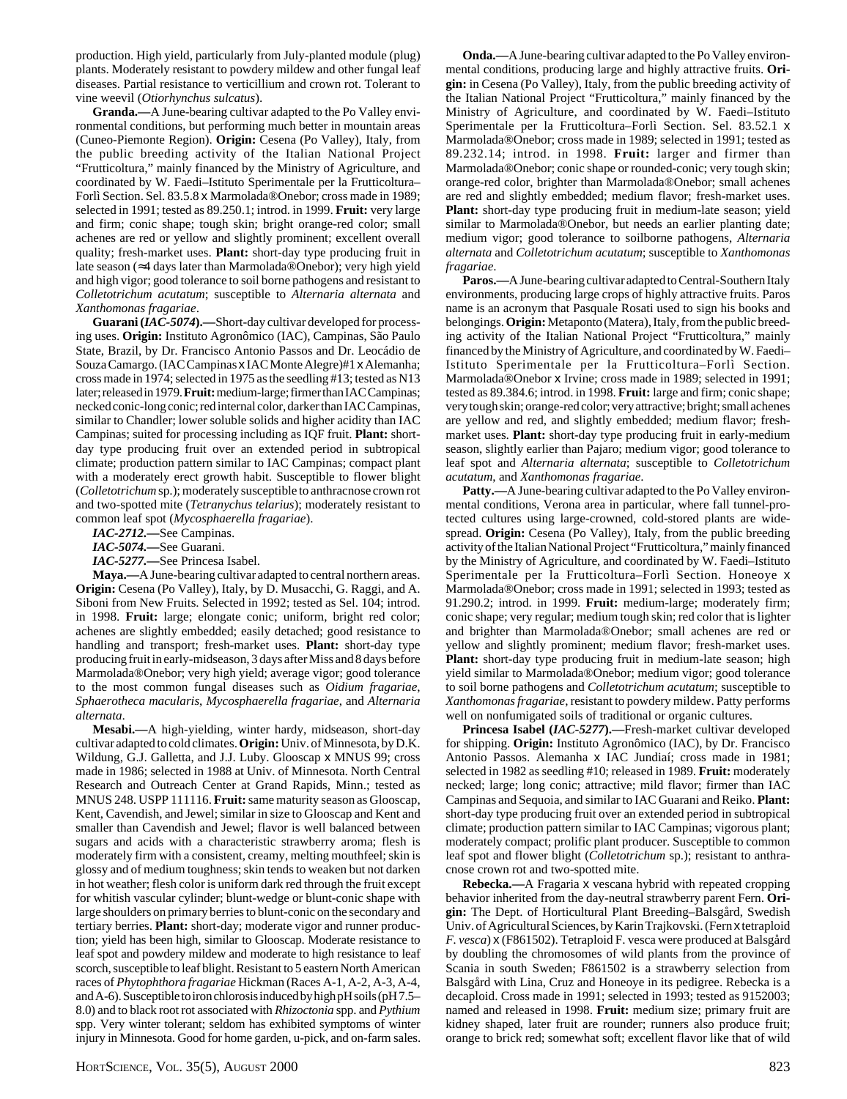production. High yield, particularly from July-planted module (plug) plants. Moderately resistant to powdery mildew and other fungal leaf diseases. Partial resistance to verticillium and crown rot. Tolerant to vine weevil (*Otiorhynchus sulcatus*).

**Granda.—**A June-bearing cultivar adapted to the Po Valley environmental conditions, but performing much better in mountain areas (Cuneo-Piemonte Region). **Origin:** Cesena (Po Valley), Italy, from the public breeding activity of the Italian National Project "Frutticoltura," mainly financed by the Ministry of Agriculture, and coordinated by W. Faedi–Istituto Sperimentale per la Frutticoltura– Forlì Section. Sel. 83.5.8 x Marmolada®Onebor; cross made in 1989; selected in 1991; tested as 89.250.1; introd. in 1999. **Fruit:** very large and firm; conic shape; tough skin; bright orange-red color; small achenes are red or yellow and slightly prominent; excellent overall quality; fresh-market uses. **Plant:** short-day type producing fruit in late season (≈4 days later than Marmolada®Onebor); very high yield and high vigor; good tolerance to soil borne pathogens and resistant to *Colletotrichum acutatum*; susceptible to *Alternaria alternata* and *Xanthomonas fragariae*.

**Guarani (***IAC-5074***).—**Short-day cultivar developed for processing uses. **Origin:** Instituto Agronômico (IAC), Campinas, São Paulo State, Brazil, by Dr. Francisco Antonio Passos and Dr. Leocádio de Souza Camargo. (IAC Campinas x IAC Monte Alegre)#1 x Alemanha; cross made in 1974; selected in 1975 as the seedling #13; tested as N13 later; released in 1979. **Fruit:** medium-large; firmer than IAC Campinas; necked conic-long conic; red internal color, darker than IAC Campinas, similar to Chandler; lower soluble solids and higher acidity than IAC Campinas; suited for processing including as IQF fruit. **Plant:** shortday type producing fruit over an extended period in subtropical climate; production pattern similar to IAC Campinas; compact plant with a moderately erect growth habit. Susceptible to flower blight (*Colletotrichum* sp.); moderately susceptible to anthracnose crown rot and two-spotted mite (*Tetranychus telarius*); moderately resistant to common leaf spot (*Mycosphaerella fragariae*).

*IAC-2712.—*See Campinas.

*IAC-5074.—*See Guarani.

*IAC-5277.—*See Princesa Isabel.

**Maya.—**A June-bearing cultivar adapted to central northern areas. **Origin:** Cesena (Po Valley), Italy, by D. Musacchi, G. Raggi, and A. Siboni from New Fruits. Selected in 1992; tested as Sel. 104; introd. in 1998. **Fruit:** large; elongate conic; uniform, bright red color; achenes are slightly embedded; easily detached; good resistance to handling and transport; fresh-market uses. **Plant:** short-day type producing fruit in early-midseason, 3 days after Miss and 8 days before Marmolada®Onebor; very high yield; average vigor; good tolerance to the most common fungal diseases such as *Oidium fragariae*, *Sphaerotheca macularis*, *Mycosphaerella fragariae*, and *Alternaria alternata*.

**Mesabi.—**A high-yielding, winter hardy, midseason, short-day cultivar adapted to cold climates. **Origin:** Univ. of Minnesota, by D.K. Wildung, G.J. Galletta, and J.J. Luby. Glooscap x MNUS 99; cross made in 1986; selected in 1988 at Univ. of Minnesota. North Central Research and Outreach Center at Grand Rapids, Minn.; tested as MNUS 248. USPP 111116. **Fruit:** same maturity season as Glooscap, Kent, Cavendish, and Jewel; similar in size to Glooscap and Kent and smaller than Cavendish and Jewel; flavor is well balanced between sugars and acids with a characteristic strawberry aroma; flesh is moderately firm with a consistent, creamy, melting mouthfeel; skin is glossy and of medium toughness; skin tends to weaken but not darken in hot weather; flesh color is uniform dark red through the fruit except for whitish vascular cylinder; blunt-wedge or blunt-conic shape with large shoulders on primary berries to blunt-conic on the secondary and tertiary berries. **Plant:** short-day; moderate vigor and runner production; yield has been high, similar to Glooscap. Moderate resistance to leaf spot and powdery mildew and moderate to high resistance to leaf scorch, susceptible to leaf blight. Resistant to 5 eastern North American races of *Phytophthora fragariae* Hickman (Races A-1, A-2, A-3, A-4, and A-6). Susceptible to iron chlorosis induced by high pH soils (pH 7.5– 8.0) and to black root rot associated with *Rhizoctonia* spp. and *Pythium* spp. Very winter tolerant; seldom has exhibited symptoms of winter injury in Minnesota. Good for home garden, u-pick, and on-farm sales.

**Onda.—**A June-bearing cultivar adapted to the Po Valley environmental conditions, producing large and highly attractive fruits. **Origin:** in Cesena (Po Valley), Italy, from the public breeding activity of the Italian National Project "Frutticoltura," mainly financed by the Ministry of Agriculture, and coordinated by W. Faedi–Istituto Sperimentale per la Frutticoltura–Forlì Section. Sel. 83.52.1 x Marmolada®Onebor; cross made in 1989; selected in 1991; tested as 89.232.14; introd. in 1998. **Fruit:** larger and firmer than Marmolada®Onebor; conic shape or rounded-conic; very tough skin; orange-red color, brighter than Marmolada®Onebor; small achenes are red and slightly embedded; medium flavor; fresh-market uses. **Plant:** short-day type producing fruit in medium-late season; yield similar to Marmolada®Onebor, but needs an earlier planting date; medium vigor; good tolerance to soilborne pathogens, *Alternaria alternata* and *Colletotrichum acutatum*; susceptible to *Xanthomonas fragariae*.

**Paros.—**A June-bearing cultivar adapted to Central-Southern Italy environments, producing large crops of highly attractive fruits. Paros name is an acronym that Pasquale Rosati used to sign his books and belongings. **Origin:** Metaponto (Matera), Italy, from the public breeding activity of the Italian National Project "Frutticoltura," mainly financed by the Ministry of Agriculture, and coordinated by W. Faedi– Istituto Sperimentale per la Frutticoltura–Forlì Section. Marmolada®Onebor x Irvine; cross made in 1989; selected in 1991; tested as 89.384.6; introd. in 1998. **Fruit:** large and firm; conic shape; very tough skin; orange-red color; very attractive; bright; small achenes are yellow and red, and slightly embedded; medium flavor; freshmarket uses. **Plant:** short-day type producing fruit in early-medium season, slightly earlier than Pajaro; medium vigor; good tolerance to leaf spot and *Alternaria alternata*; susceptible to *Colletotrichum acutatum*, and *Xanthomonas fragariae*.

**Patty.—**A June-bearing cultivar adapted to the Po Valley environmental conditions, Verona area in particular, where fall tunnel-protected cultures using large-crowned, cold-stored plants are widespread. **Origin:** Cesena (Po Valley), Italy, from the public breeding activity of the Italian National Project "Frutticoltura," mainly financed by the Ministry of Agriculture, and coordinated by W. Faedi–Istituto Sperimentale per la Frutticoltura–Forlì Section. Honeoye x Marmolada®Onebor; cross made in 1991; selected in 1993; tested as 91.290.2; introd. in 1999. **Fruit:** medium-large; moderately firm; conic shape; very regular; medium tough skin; red color that is lighter and brighter than Marmolada®Onebor; small achenes are red or yellow and slightly prominent; medium flavor; fresh-market uses. **Plant:** short-day type producing fruit in medium-late season; high yield similar to Marmolada®Onebor; medium vigor; good tolerance to soil borne pathogens and *Colletotrichum acutatum*; susceptible to *Xanthomonas fragariae*, resistant to powdery mildew. Patty performs well on nonfumigated soils of traditional or organic cultures.

**Princesa Isabel (***IAC-5277***).—**Fresh-market cultivar developed for shipping. **Origin:** Instituto Agronômico (IAC), by Dr. Francisco Antonio Passos. Alemanha x IAC Jundiaí; cross made in 1981; selected in 1982 as seedling #10; released in 1989. **Fruit:** moderately necked; large; long conic; attractive; mild flavor; firmer than IAC Campinas and Sequoia, and similar to IAC Guarani and Reiko. **Plant:** short-day type producing fruit over an extended period in subtropical climate; production pattern similar to IAC Campinas; vigorous plant; moderately compact; prolific plant producer. Susceptible to common leaf spot and flower blight (*Colletotrichum* sp.); resistant to anthracnose crown rot and two-spotted mite.

**Rebecka.—**A Fragaria x vescana hybrid with repeated cropping behavior inherited from the day-neutral strawberry parent Fern. **Origin:** The Dept. of Horticultural Plant Breeding–Balsgård, Swedish Univ. of Agricultural Sciences, by Karin Trajkovski. (Fern x tetraploid *F. vesca*) x (F861502). Tetraploid F. vesca were produced at Balsgård by doubling the chromosomes of wild plants from the province of Scania in south Sweden; F861502 is a strawberry selection from Balsgård with Lina, Cruz and Honeoye in its pedigree. Rebecka is a decaploid. Cross made in 1991; selected in 1993; tested as 9152003; named and released in 1998. **Fruit:** medium size; primary fruit are kidney shaped, later fruit are rounder; runners also produce fruit; orange to brick red; somewhat soft; excellent flavor like that of wild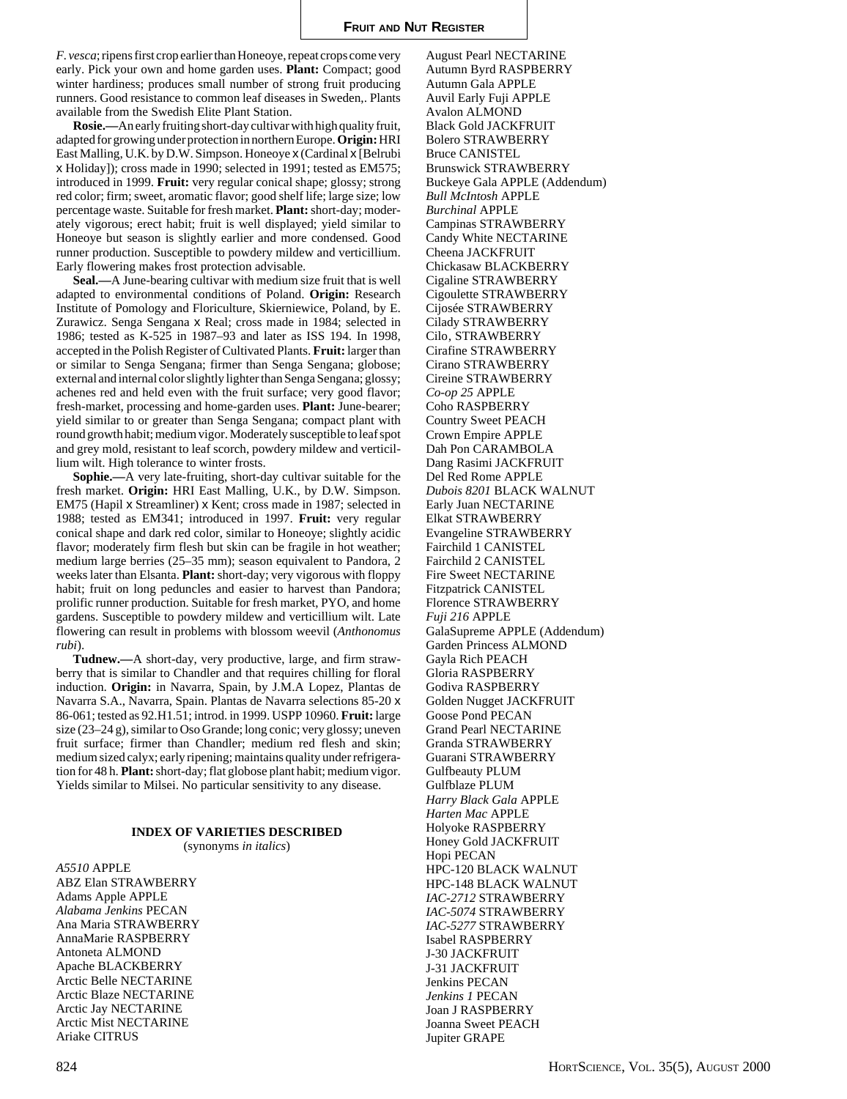August Pearl NECTARINE

*F. vesca*; ripens first crop earlier than Honeoye, repeat crops come very early. Pick your own and home garden uses. **Plant:** Compact; good winter hardiness; produces small number of strong fruit producing runners. Good resistance to common leaf diseases in Sweden,. Plants available from the Swedish Elite Plant Station.

**Rosie.—**An early fruiting short-day cultivar with high quality fruit, adapted for growing under protection in northern Europe. **Origin:** HRI East Malling, U.K. by D.W. Simpson. Honeoye x (Cardinal x [Belrubi x Holiday]); cross made in 1990; selected in 1991; tested as EM575; introduced in 1999. **Fruit:** very regular conical shape; glossy; strong red color; firm; sweet, aromatic flavor; good shelf life; large size; low percentage waste. Suitable for fresh market. **Plant:** short-day; moderately vigorous; erect habit; fruit is well displayed; yield similar to Honeoye but season is slightly earlier and more condensed. Good runner production. Susceptible to powdery mildew and verticillium. Early flowering makes frost protection advisable.

**Seal.—**A June-bearing cultivar with medium size fruit that is well adapted to environmental conditions of Poland. **Origin:** Research Institute of Pomology and Floriculture, Skierniewice, Poland, by E. Zurawicz. Senga Sengana x Real; cross made in 1984; selected in 1986; tested as K-525 in 1987–93 and later as ISS 194. In 1998, accepted in the Polish Register of Cultivated Plants. **Fruit:** larger than or similar to Senga Sengana; firmer than Senga Sengana; globose; external and internal color slightly lighter than Senga Sengana; glossy; achenes red and held even with the fruit surface; very good flavor; fresh-market, processing and home-garden uses. **Plant:** June-bearer; yield similar to or greater than Senga Sengana; compact plant with round growth habit; medium vigor. Moderately susceptible to leaf spot and grey mold, resistant to leaf scorch, powdery mildew and verticillium wilt. High tolerance to winter frosts.

**Sophie.—**A very late-fruiting, short-day cultivar suitable for the fresh market. **Origin:** HRI East Malling, U.K., by D.W. Simpson. EM75 (Hapil x Streamliner) x Kent; cross made in 1987; selected in 1988; tested as EM341; introduced in 1997. **Fruit:** very regular conical shape and dark red color, similar to Honeoye; slightly acidic flavor; moderately firm flesh but skin can be fragile in hot weather; medium large berries (25–35 mm); season equivalent to Pandora, 2 weeks later than Elsanta. **Plant:** short-day; very vigorous with floppy habit; fruit on long peduncles and easier to harvest than Pandora; prolific runner production. Suitable for fresh market, PYO, and home gardens. Susceptible to powdery mildew and verticillium wilt. Late flowering can result in problems with blossom weevil (*Anthonomus rubi*).

**Tudnew.—**A short-day, very productive, large, and firm strawberry that is similar to Chandler and that requires chilling for floral induction. **Origin:** in Navarra, Spain, by J.M.A Lopez, Plantas de Navarra S.A., Navarra, Spain. Plantas de Navarra selections 85-20 x 86-061; tested as 92.H1.51; introd. in 1999. USPP 10960. **Fruit:** large size (23–24 g), similar to Oso Grande; long conic; very glossy; uneven fruit surface; firmer than Chandler; medium red flesh and skin; medium sized calyx; early ripening; maintains quality under refrigeration for 48 h. **Plant:** short-day; flat globose plant habit; medium vigor. Yields similar to Milsei. No particular sensitivity to any disease.

# **INDEX OF VARIETIES DESCRIBED**

(synonyms *in italics*)

*A5510* APPLE ABZ Elan STRAWBERRY Adams Apple APPLE *Alabama Jenkins* PECAN Ana Maria STRAWBERRY AnnaMarie RASPBERRY Antoneta ALMOND Apache BLACKBERRY Arctic Belle NECTARINE Arctic Blaze NECTARINE Arctic Jay NECTARINE Arctic Mist NECTARINE Ariake CITRUS

Autumn Byrd RASPBERRY Autumn Gala APPLE Auvil Early Fuji APPLE Avalon ALMOND Black Gold JACKFRUIT Bolero STRAWBERRY Bruce CANISTEL Brunswick STRAWBERRY Buckeye Gala APPLE (Addendum) *Bull McIntosh* APPLE *Burchinal* APPLE Campinas STRAWBERRY Candy White NECTARINE Cheena JACKFRUIT Chickasaw BLACKBERRY Cigaline STRAWBERRY Cigoulette STRAWBERRY Cijosée STRAWBERRY Cilady STRAWBERRY Cilo, STRAWBERRY Cirafine STRAWBERRY Cirano STRAWBERRY Cireine STRAWBERRY *Co-op 25* APPLE Coho RASPBERRY Country Sweet PEACH Crown Empire APPLE Dah Pon CARAMBOLA Dang Rasimi JACKFRUIT Del Red Rome APPLE *Dubois 8201* BLACK WALNUT Early Juan NECTARINE Elkat STRAWBERRY Evangeline STRAWBERRY Fairchild 1 CANISTEL Fairchild 2 CANISTEL Fire Sweet NECTARINE Fitzpatrick CANISTEL Florence STRAWBERRY *Fuji 216* APPLE GalaSupreme APPLE (Addendum) Garden Princess ALMOND Gayla Rich PEACH Gloria RASPBERRY Godiva RASPBERRY Golden Nugget JACKFRUIT Goose Pond PECAN Grand Pearl NECTARINE Granda STRAWBERRY Guarani STRAWBERRY Gulfbeauty PLUM Gulfblaze PLUM *Harry Black Gala* APPLE *Harten Mac* APPLE Holyoke RASPBERRY Honey Gold JACKFRUIT Hopi PECAN HPC-120 BLACK WALNUT HPC-148 BLACK WALNUT *IAC-2712* STRAWBERRY *IAC-5074* STRAWBERRY *IAC-5277* STRAWBERRY Isabel RASPBERRY J-30 JACKFRUIT J-31 JACKFRUIT Jenkins PECAN *Jenkins 1* PECAN Joan J RASPBERRY Joanna Sweet PEACH

Jupiter GRAPE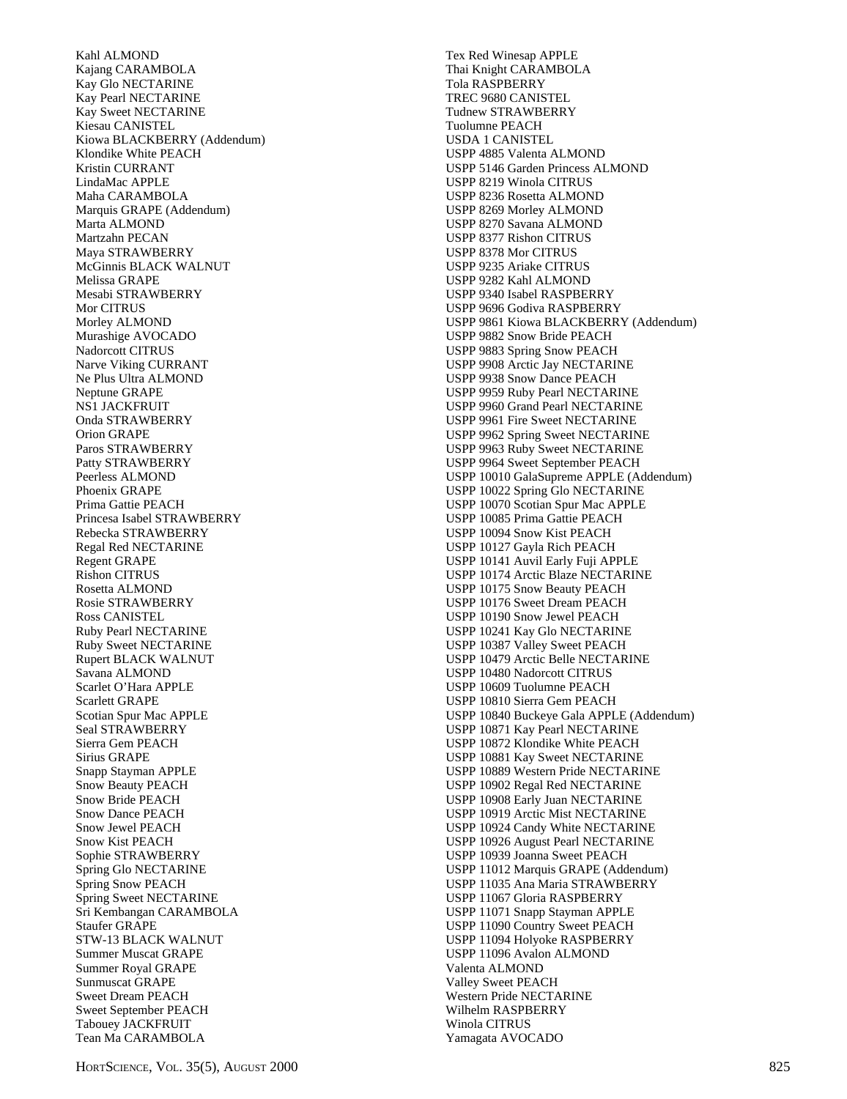Kahl ALMOND Kajang CARAMBOLA Kay Glo NECTARINE Kay Pearl NECTARINE Kay Sweet NECTARINE Kiesau CANISTEL Kiowa BLACKBERRY (Addendum) Klondike White PEACH Kristin CURRANT LindaMac APPLE Maha CARAMBOLA Marquis GRAPE (Addendum) Marta ALMOND Martzahn PECAN Maya STRAWBERRY McGinnis BLACK WALNUT Melissa GRAPE Mesabi STRAWBERRY Mor CITRUS Morley ALMOND Murashige AVOCADO Nadorcott CITRUS Narve Viking CURRANT Ne Plus Ultra ALMOND Neptune GRAPE NS1 JACKFRUIT Onda STRAWBERRY Orion GRAPE Paros STRAWBERRY Patty STRAWBERRY Peerless ALMOND Phoenix GRAPE Prima Gattie PEACH Princesa Isabel STRAWBERRY Rebecka STRAWBERRY Regal Red NECTARINE Regent GRAPE Rishon CITRUS Rosetta ALMOND Rosie STRAWBERRY Ross CANISTEL Ruby Pearl NECTARINE Ruby Sweet NECTARINE Rupert BLACK WALNUT Savana ALMOND Scarlet O'Hara APPLE Scarlett GRAPE Scotian Spur Mac APPLE Seal STRAWBERRY Sierra Gem PEACH Sirius GRAPE Snapp Stayman APPLE Snow Beauty PEACH Snow Bride PEACH Snow Dance PEACH Snow Jewel PEACH Snow Kist PEACH Sophie STRAWBERRY Spring Glo NECTARINE Spring Snow PEACH Spring Sweet NECTARINE Sri Kembangan CARAMBOLA Staufer GRAPE STW-13 BLACK WALNUT Summer Muscat GRAPE Summer Royal GRAPE Sunmuscat GRAPE Sweet Dream PEACH Sweet September PEACH Tabouey JACKFRUIT Tean Ma CARAMBOLA

Tex Red Winesap APPLE Thai Knight CARAMBOLA Tola RASPBERRY TREC 9680 CANISTEL Tudnew STRAWBERRY Tuolumne PEACH USDA 1 CANISTEL USPP 4885 Valenta ALMOND USPP 5146 Garden Princess ALMOND USPP 8219 Winola CITRUS USPP 8236 Rosetta ALMOND USPP 8269 Morley ALMOND USPP 8270 Savana ALMOND USPP 8377 Rishon CITRUS USPP 8378 Mor CITRUS USPP 9235 Ariake CITRUS USPP 9282 Kahl ALMOND USPP 9340 Isabel RASPBERRY USPP 9696 Godiva RASPBERRY USPP 9861 Kiowa BLACKBERRY (Addendum) USPP 9882 Snow Bride PEACH USPP 9883 Spring Snow PEACH USPP 9908 Arctic Jay NECTARINE USPP 9938 Snow Dance PEACH USPP 9959 Ruby Pearl NECTARINE USPP 9960 Grand Pearl NECTARINE USPP 9961 Fire Sweet NECTARINE USPP 9962 Spring Sweet NECTARINE USPP 9963 Ruby Sweet NECTARINE USPP 9964 Sweet September PEACH USPP 10010 GalaSupreme APPLE (Addendum) USPP 10022 Spring Glo NECTARINE USPP 10070 Scotian Spur Mac APPLE USPP 10085 Prima Gattie PEACH USPP 10094 Snow Kist PEACH USPP 10127 Gayla Rich PEACH USPP 10141 Auvil Early Fuji APPLE USPP 10174 Arctic Blaze NECTARINE USPP 10175 Snow Beauty PEACH USPP 10176 Sweet Dream PEACH USPP 10190 Snow Jewel PEACH USPP 10241 Kay Glo NECTARINE USPP 10387 Valley Sweet PEACH USPP 10479 Arctic Belle NECTARINE USPP 10480 Nadorcott CITRUS USPP 10609 Tuolumne PEACH USPP 10810 Sierra Gem PEACH USPP 10840 Buckeye Gala APPLE (Addendum) USPP 10871 Kay Pearl NECTARINE USPP 10872 Klondike White PEACH USPP 10881 Kay Sweet NECTARINE USPP 10889 Western Pride NECTARINE USPP 10902 Regal Red NECTARINE USPP 10908 Early Juan NECTARINE USPP 10919 Arctic Mist NECTARINE USPP 10924 Candy White NECTARINE USPP 10926 August Pearl NECTARINE USPP 10939 Joanna Sweet PEACH USPP 11012 Marquis GRAPE (Addendum) USPP 11035 Ana Maria STRAWBERRY USPP 11067 Gloria RASPBERRY USPP 11071 Snapp Stayman APPLE USPP 11090 Country Sweet PEACH USPP 11094 Holyoke RASPBERRY USPP 11096 Avalon ALMOND Valenta ALMOND Valley Sweet PEACH Western Pride NECTARINE Wilhelm RASPBERRY Winola CITRUS Yamagata AVOCADO